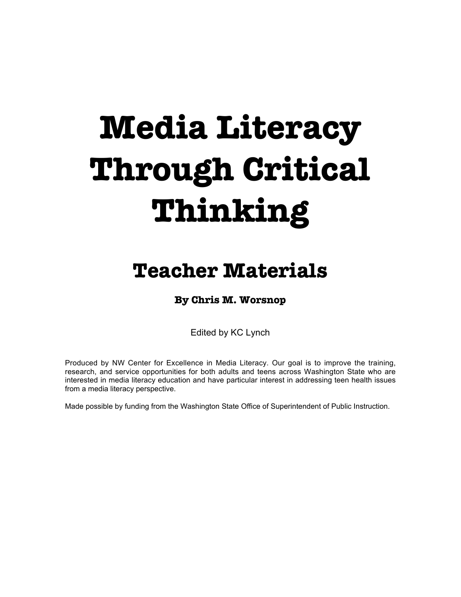# **Media Literacy Through Critical Thinking**

# **Teacher Materials**

# **By Chris M. Worsnop**

Edited by KC Lynch

Produced by NW Center for Excellence in Media Literacy. Our goal is to improve the training, research, and service opportunities for both adults and teens across Washington State who are interested in media literacy education and have particular interest in addressing teen health issues from a media literacy perspective.

Made possible by funding from the Washington State Office of Superintendent of Public Instruction.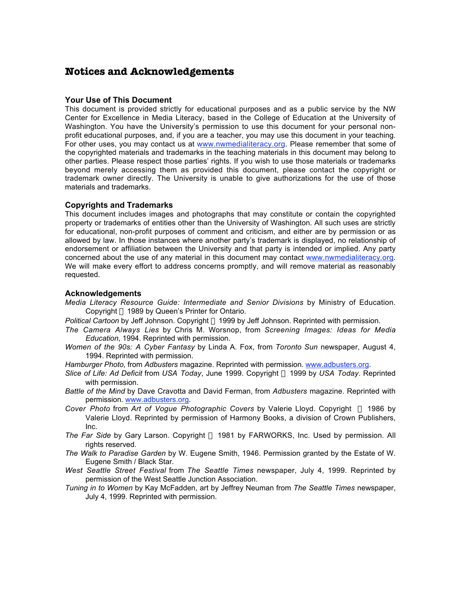### **Notices and Acknowledgements**

### **Your Use of This Document**

This document is provided strictly for educational purposes and as a public service by the NW Center for Excellence in Media Literacy, based in the College of Education at the University of Washington. You have the University's permission to use this document for your personal nonprofit educational purposes, and, if you are a teacher, you may use this document in your teaching. For other uses, you may contact us at www.nwmedialiteracy.org. Please remember that some of the copyrighted materials and trademarks in the teaching materials in this document may belong to other parties. Please respect those parties' rights. If you wish to use those materials or trademarks beyond merely accessing them as provided this document, please contact the copyright or trademark owner directly. The University is unable to give authorizations for the use of those materials and trademarks.

### **Copyrights and Trademarks**

This document includes images and photographs that may constitute or contain the copyrighted property or trademarks of entities other than the University of Washington. All such uses are strictly for educational, non-profit purposes of comment and criticism, and either are by permission or as allowed by law. In those instances where another party's trademark is displayed, no relationship of endorsement or affiliation between the University and that party is intended or implied. Any party concerned about the use of any material in this document may contact www.nwmedialiteracy.org. We will make every effort to address concerns promptly, and will remove material as reasonably requested.

### **Acknowledgements**

- *Media Literacy Resource Guide: Intermediate and Senior Divisions* by Ministry of Education. Copyright © 1989 by Queen's Printer for Ontario.
- *Political Cartoon* by Jeff Johnson. Copyright © 1999 by Jeff Johnson. Reprinted with permission.
- *The Camera Always Lies* by Chris M. Worsnop, from *Screening Images: Ideas for Media Education*, 1994. Reprinted with permission.
- *Women of the 90s: A Cyber Fantasy* by Linda A. Fox, from *Toronto Sun* newspaper, August 4, 1994. Reprinted with permission.
- *Hamburger Photo*, from *Adbusters* magazine. Reprinted with permission. www.adbusters.org.
- *Slice of Life: Ad Deficit* from *USA Today*, June 1999. Copyright " 1999 by *USA Today*. Reprinted with permission.
- *Battle of the Mind* by Dave Cravotta and David Ferman, from *Adbusters* magazine. Reprinted with permission. www.adbusters.org.
- *Cover Photo* from *Art of Vogue Photographic Covers* by Valerie Lloyd. Copyright © 1986 by Valerie Lloyd. Reprinted by permission of Harmony Books, a division of Crown Publishers, Inc.
- The Far Side by Gary Larson. Copyright © 1981 by FARWORKS, Inc. Used by permission. All rights reserved.
- *The Walk to Paradise Garden* by W. Eugene Smith, 1946. Permission granted by the Estate of W. Eugene Smith / Black Star.
- *West Seattle Street Festival* from *The Seattle Times* newspaper, July 4, 1999. Reprinted by permission of the West Seattle Junction Association.
- *Tuning in to Women* by Kay McFadden, art by Jeffrey Neuman from *The Seattle Times* newspaper, July 4, 1999. Reprinted with permission.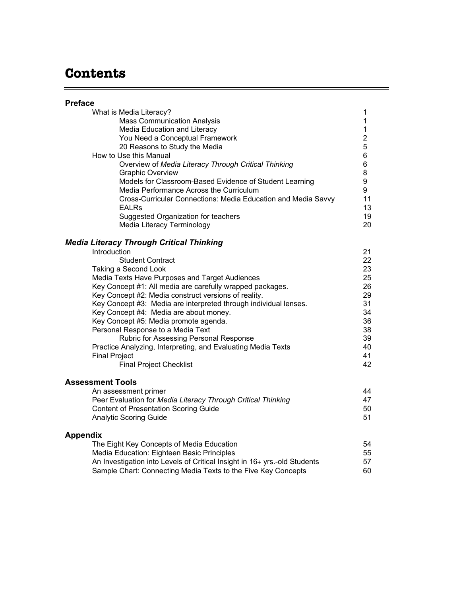# **Contents**

 $=$ 

| <b>Preface</b>                                                                                                                                                                                                                                                                                                                                                                                                                                                                                                                                                                                         |                                                                                                |
|--------------------------------------------------------------------------------------------------------------------------------------------------------------------------------------------------------------------------------------------------------------------------------------------------------------------------------------------------------------------------------------------------------------------------------------------------------------------------------------------------------------------------------------------------------------------------------------------------------|------------------------------------------------------------------------------------------------|
| What is Media Literacy?<br><b>Mass Communication Analysis</b><br>Media Education and Literacy<br>You Need a Conceptual Framework<br>20 Reasons to Study the Media<br>How to Use this Manual<br>Overview of Media Literacy Through Critical Thinking<br>Graphic Overview<br>Models for Classroom-Based Evidence of Student Learning<br>Media Performance Across the Curriculum<br>Cross-Curricular Connections: Media Education and Media Savvy<br><b>EALRs</b><br>Suggested Organization for teachers<br>Media Literacy Terminology                                                                    | 1<br>1<br>$\mathbf{1}$<br>$\overline{2}$<br>5<br>6<br>6<br>8<br>9<br>9<br>11<br>13<br>19<br>20 |
| <b>Media Literacy Through Critical Thinking</b>                                                                                                                                                                                                                                                                                                                                                                                                                                                                                                                                                        |                                                                                                |
| Introduction<br><b>Student Contract</b><br>Taking a Second Look<br>Media Texts Have Purposes and Target Audiences<br>Key Concept #1: All media are carefully wrapped packages.<br>Key Concept #2: Media construct versions of reality.<br>Key Concept #3: Media are interpreted through individual lenses.<br>Key Concept #4: Media are about money.<br>Key Concept #5: Media promote agenda.<br>Personal Response to a Media Text<br>Rubric for Assessing Personal Response<br>Practice Analyzing, Interpreting, and Evaluating Media Texts<br><b>Final Project</b><br><b>Final Project Checklist</b> | 21<br>22<br>23<br>25<br>26<br>29<br>31<br>34<br>36<br>38<br>39<br>40<br>41<br>42               |
| <b>Assessment Tools</b>                                                                                                                                                                                                                                                                                                                                                                                                                                                                                                                                                                                |                                                                                                |
| An assessment primer<br>Peer Evaluation for Media Literacy Through Critical Thinking<br><b>Content of Presentation Scoring Guide</b><br><b>Analytic Scoring Guide</b>                                                                                                                                                                                                                                                                                                                                                                                                                                  | 44<br>47<br>50<br>51                                                                           |
| <b>Appendix</b><br>The Eight Key Concepts of Media Education<br>Media Education: Eighteen Basic Principles<br>An Investigation into Levels of Critical Insight in 16+ yrs.-old Students<br>Sample Chart: Connecting Media Texts to the Five Key Concepts                                                                                                                                                                                                                                                                                                                                               | 54<br>55<br>57<br>60                                                                           |

the control of the control of the control of the control of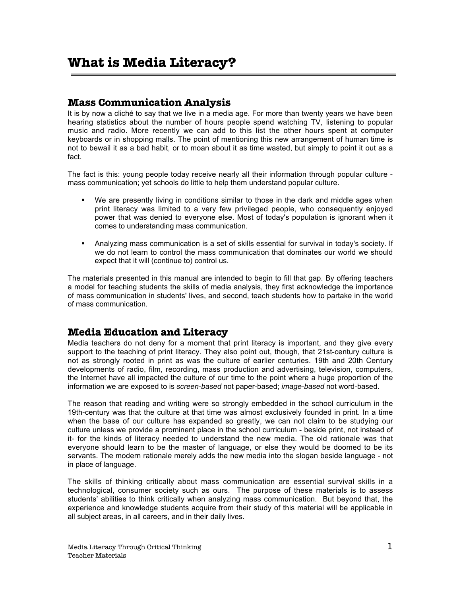### **Mass Communication Analysis**

It is by now a cliché to say that we live in a media age. For more than twenty years we have been hearing statistics about the number of hours people spend watching TV, listening to popular music and radio. More recently we can add to this list the other hours spent at computer keyboards or in shopping malls. The point of mentioning this new arrangement of human time is not to bewail it as a bad habit, or to moan about it as time wasted, but simply to point it out as a fact.

The fact is this: young people today receive nearly all their information through popular culture mass communication; yet schools do little to help them understand popular culture.

- We are presently living in conditions similar to those in the dark and middle ages when print literacy was limited to a very few privileged people, who consequently enjoyed power that was denied to everyone else. Most of today's population is ignorant when it comes to understanding mass communication.
- **•** Analyzing mass communication is a set of skills essential for survival in today's society. If we do not learn to control the mass communication that dominates our world we should expect that it will (continue to) control us.

The materials presented in this manual are intended to begin to fill that gap. By offering teachers a model for teaching students the skills of media analysis, they first acknowledge the importance of mass communication in students' lives, and second, teach students how to partake in the world of mass communication.

### **Media Education and Literacy**

Media teachers do not deny for a moment that print literacy is important, and they give every support to the teaching of print literacy. They also point out, though, that 21st-century culture is not as strongly rooted in print as was the culture of earlier centuries. 19th and 20th Century developments of radio, film, recording, mass production and advertising, television, computers, the Internet have all impacted the culture of our time to the point where a huge proportion of the information we are exposed to is *screen-based* not paper-based; *image-based* not word-based.

The reason that reading and writing were so strongly embedded in the school curriculum in the 19th-century was that the culture at that time was almost exclusively founded in print. In a time when the base of our culture has expanded so greatly, we can not claim to be studying our culture unless we provide a prominent place in the school curriculum - beside print, not instead of it- for the kinds of literacy needed to understand the new media. The old rationale was that everyone should learn to be the master of language, or else they would be doomed to be its servants. The modern rationale merely adds the new media into the slogan beside language - not in place of language.

The skills of thinking critically about mass communication are essential survival skills in a technological, consumer society such as ours. The purpose of these materials is to assess students' abilities to think critically when analyzing mass communication. But beyond that, the experience and knowledge students acquire from their study of this material will be applicable in all subject areas, in all careers, and in their daily lives.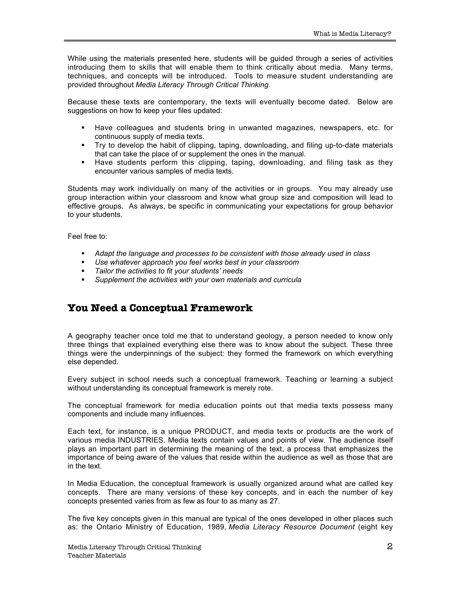While using the materials presented here, students will be guided through a series of activities introducing them to skills that will enable them to think critically about media. Many terms, techniques, and concepts will be introduced. Tools to measure student understanding are provided throughout *Media Literacy Through Critical Thinking*.

Because these texts are contemporary, the texts will eventually become dated. Below are suggestions on how to keep your files updated:

- **Have colleagues and students bring in unwanted magazines, newspapers, etc. for** continuous supply of media texts.
- Try to develop the habit of clipping, taping, downloading, and filing up-to-date materials that can take the place of or supplement the ones in the manual.
- **Have students perform this clipping, taping, downloading, and filing task as they** encounter various samples of media texts.

Students may work individually on many of the activities or in groups. You may already use group interaction within your classroom and know what group size and composition will lead to effective groups. As always, be specific in communicating your expectations for group behavior to your students.

Feel free to:

- **Adapt the language and processes to be consistent with those already used in class**
- ß *Use whatever approach you feel works best in your classroom*
- ß *Tailor the activities to fit your students' needs*
- **Supplement the activities with your own materials and curricula**

### **You Need a Conceptual Framework**

A geography teacher once told me that to understand geology, a person needed to know only three things that explained everything else there was to know about the subject. These three things were the underpinnings of the subject: they formed the framework on which everything else depended.

Every subject in school needs such a conceptual framework. Teaching or learning a subject without understanding its conceptual framework is merely rote.

The conceptual framework for media education points out that media texts possess many components and include many influences.

Each text, for instance, is a unique PRODUCT, and media texts or products are the work of various media INDUSTRIES. Media texts contain values and points of view. The audience itself plays an important part in determining the meaning of the text, a process that emphasizes the importance of being aware of the values that reside within the audience as well as those that are in the text.

In Media Education, the conceptual framework is usually organized around what are called key concepts. There are many versions of these key concepts, and in each the number of key concepts presented varies from as few as four to as many as 27.

The five key concepts given in this manual are typical of the ones developed in other places such as: the Ontario Ministry of Education, 1989, *Media Literacy Resource Document* (eight key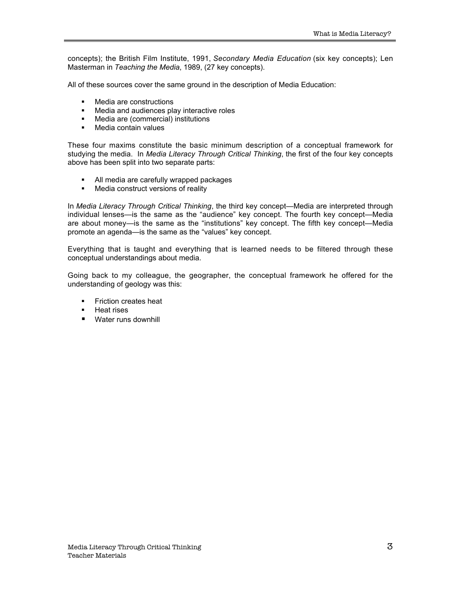concepts); the British Film Institute, 1991, *Secondary Media Education* (six key concepts); Len Masterman in *Teaching the Media*, 1989, (27 key concepts).

All of these sources cover the same ground in the description of Media Education:

- ß Media are constructions
- **Media and audiences play interactive roles**<br>• Media are (commercial) institutions
- ß Media are (commercial) institutions
- Media contain values

These four maxims constitute the basic minimum description of a conceptual framework for studying the media. In *Media Literacy Through Critical Thinking*, the first of the four key concepts above has been split into two separate parts:

- All media are carefully wrapped packages
- Media construct versions of reality

In *Media Literacy Through Critical Thinking*, the third key concept—Media are interpreted through individual lenses—is the same as the "audience" key concept. The fourth key concept—Media are about money—is the same as the "institutions" key concept. The fifth key concept—Media promote an agenda—is the same as the "values" key concept.

Everything that is taught and everything that is learned needs to be filtered through these conceptual understandings about media.

Going back to my colleague, the geographer, the conceptual framework he offered for the understanding of geology was this:

- **Friction creates heat**
- **Heat rises**
- Water runs downhill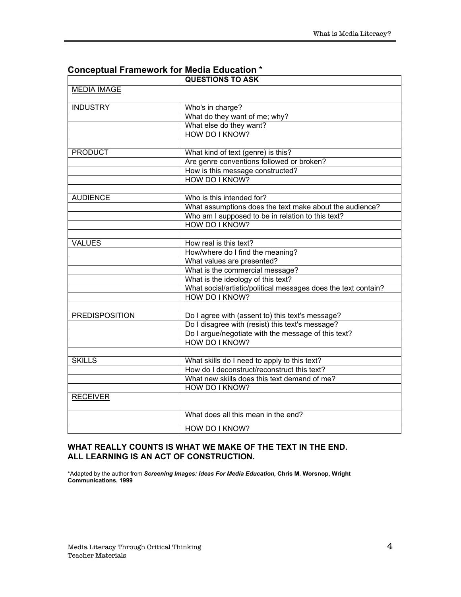|                       | <b>QUESTIONS TO ASK</b>                                        |
|-----------------------|----------------------------------------------------------------|
| <b>MEDIA IMAGE</b>    |                                                                |
| <b>INDUSTRY</b>       | Who's in charge?                                               |
|                       | What do they want of me; why?                                  |
|                       | What else do they want?                                        |
|                       | <b>HOW DO I KNOW?</b>                                          |
|                       |                                                                |
| <b>PRODUCT</b>        | What kind of text (genre) is this?                             |
|                       | Are genre conventions followed or broken?                      |
|                       | How is this message constructed?                               |
|                       | HOW DO I KNOW?                                                 |
|                       |                                                                |
| <b>AUDIENCE</b>       | Who is this intended for?                                      |
|                       | What assumptions does the text make about the audience?        |
|                       | Who am I supposed to be in relation to this text?              |
|                       | HOW DO I KNOW?                                                 |
|                       |                                                                |
| <b>VALUES</b>         | How real is this text?                                         |
|                       | How/where do I find the meaning?                               |
|                       | What values are presented?                                     |
|                       | What is the commercial message?                                |
|                       | What is the ideology of this text?                             |
|                       | What social/artistic/political messages does the text contain? |
|                       | HOW DO I KNOW?                                                 |
|                       |                                                                |
| <b>PREDISPOSITION</b> | Do I agree with (assent to) this text's message?               |
|                       | Do I disagree with (resist) this text's message?               |
|                       | Do I argue/negotiate with the message of this text?            |
|                       | HOW DO I KNOW?                                                 |
|                       |                                                                |
| <b>SKILLS</b>         | What skills do I need to apply to this text?                   |
|                       | How do I deconstruct/reconstruct this text?                    |
|                       | What new skills does this text demand of me?                   |
|                       | HOW DO I KNOW?                                                 |
| <b>RECEIVER</b>       |                                                                |
|                       | What does all this mean in the end?                            |
|                       | HOW DO I KNOW?                                                 |

### **Conceptual Framework for Media Education** \*

### **WHAT REALLY COUNTS IS WHAT WE MAKE OF THE TEXT IN THE END. ALL LEARNING IS AN ACT OF CONSTRUCTION.**

\*Adapted by the author from *Screening Images: Ideas For Media Education,* **Chris M. Worsnop, Wright Communications, 1999**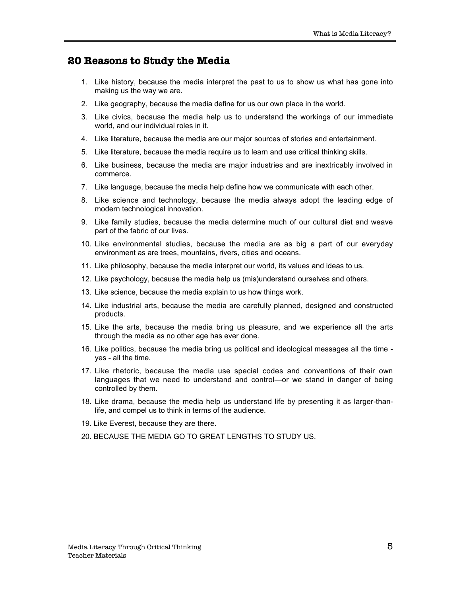### **20 Reasons to Study the Media**

- 1. Like history, because the media interpret the past to us to show us what has gone into making us the way we are.
- 2. Like geography, because the media define for us our own place in the world.
- 3. Like civics, because the media help us to understand the workings of our immediate world, and our individual roles in it.
- 4. Like literature, because the media are our major sources of stories and entertainment.
- 5. Like literature, because the media require us to learn and use critical thinking skills.
- 6. Like business, because the media are major industries and are inextricably involved in commerce.
- 7. Like language, because the media help define how we communicate with each other.
- 8. Like science and technology, because the media always adopt the leading edge of modern technological innovation.
- 9. Like family studies, because the media determine much of our cultural diet and weave part of the fabric of our lives.
- 10. Like environmental studies, because the media are as big a part of our everyday environment as are trees, mountains, rivers, cities and oceans.
- 11. Like philosophy, because the media interpret our world, its values and ideas to us.
- 12. Like psychology, because the media help us (mis)understand ourselves and others.
- 13. Like science, because the media explain to us how things work.
- 14. Like industrial arts, because the media are carefully planned, designed and constructed products.
- 15. Like the arts, because the media bring us pleasure, and we experience all the arts through the media as no other age has ever done.
- 16. Like politics, because the media bring us political and ideological messages all the time yes - all the time.
- 17. Like rhetoric, because the media use special codes and conventions of their own languages that we need to understand and control—or we stand in danger of being controlled by them.
- 18. Like drama, because the media help us understand life by presenting it as larger-thanlife, and compel us to think in terms of the audience.
- 19. Like Everest, because they are there.
- 20. BECAUSE THE MEDIA GO TO GREAT LENGTHS TO STUDY US.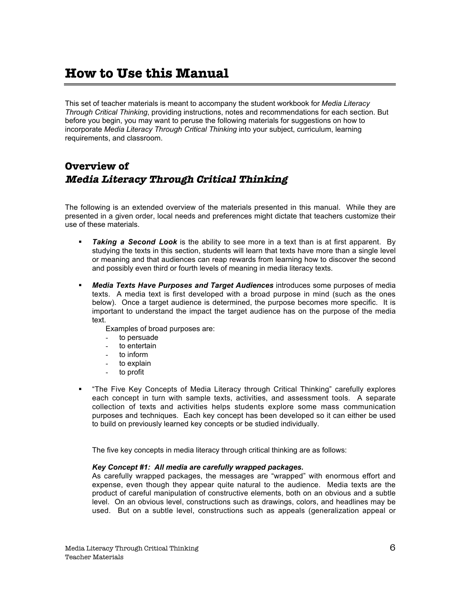# **How to Use this Manual**

This set of teacher materials is meant to accompany the student workbook for *Media Literacy Through Critical Thinking*, providing instructions, notes and recommendations for each section. But before you begin, you may want to peruse the following materials for suggestions on how to incorporate *Media Literacy Through Critical Thinking* into your subject, curriculum, learning requirements, and classroom.

# **Overview of Media Literacy Through Critical Thinking**

The following is an extended overview of the materials presented in this manual. While they are presented in a given order, local needs and preferences might dictate that teachers customize their use of these materials.

- **Taking a Second Look** is the ability to see more in a text than is at first apparent. By studying the texts in this section, students will learn that texts have more than a single level or meaning and that audiences can reap rewards from learning how to discover the second and possibly even third or fourth levels of meaning in media literacy texts.
- ß *Media Texts Have Purposes and Target Audiences* introduces some purposes of media texts. A media text is first developed with a broad purpose in mind (such as the ones below). Once a target audience is determined, the purpose becomes more specific. It is important to understand the impact the target audience has on the purpose of the media text.

Examples of broad purposes are:

- to persuade
- to entertain
- to inform
- to explain
- to profit
- ß "The Five Key Concepts of Media Literacy through Critical Thinking" carefully explores each concept in turn with sample texts, activities, and assessment tools. A separate collection of texts and activities helps students explore some mass communication purposes and techniques. Each key concept has been developed so it can either be used to build on previously learned key concepts or be studied individually.

The five key concepts in media literacy through critical thinking are as follows:

### *Key Concept #1: All media are carefully wrapped packages.*

As carefully wrapped packages, the messages are "wrapped" with enormous effort and expense, even though they appear quite natural to the audience. Media texts are the product of careful manipulation of constructive elements, both on an obvious and a subtle level. On an obvious level, constructions such as drawings, colors, and headlines may be used. But on a subtle level, constructions such as appeals (generalization appeal or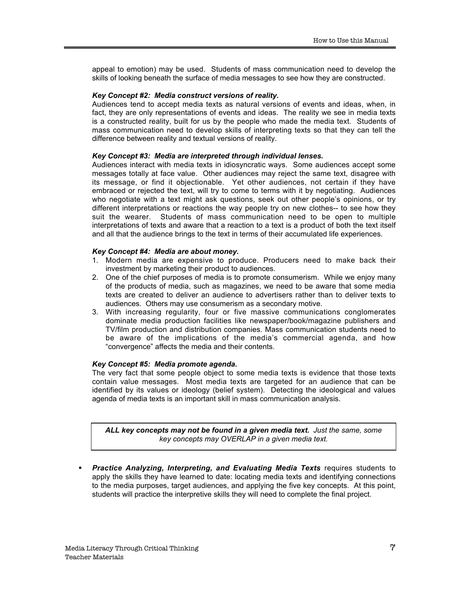appeal to emotion) may be used. Students of mass communication need to develop the skills of looking beneath the surface of media messages to see how they are constructed.

#### *Key Concept #2: Media construct versions of reality.*

Audiences tend to accept media texts as natural versions of events and ideas, when, in fact, they are only representations of events and ideas. The reality we see in media texts is a constructed reality, built for us by the people who made the media text. Students of mass communication need to develop skills of interpreting texts so that they can tell the difference between reality and textual versions of reality.

#### *Key Concept #3: Media are interpreted through individual lenses.*

Audiences interact with media texts in idiosyncratic ways. Some audiences accept some messages totally at face value. Other audiences may reject the same text, disagree with its message, or find it objectionable. Yet other audiences, not certain if they have embraced or rejected the text, will try to come to terms with it by negotiating. Audiences who negotiate with a text might ask questions, seek out other people's opinions, or try different interpretations or reactions the way people try on new clothes-- to see how they suit the wearer. Students of mass communication need to be open to multiple interpretations of texts and aware that a reaction to a text is a product of both the text itself and all that the audience brings to the text in terms of their accumulated life experiences.

#### *Key Concept #4: Media are about money.*

- 1. Modern media are expensive to produce. Producers need to make back their investment by marketing their product to audiences.
- 2. One of the chief purposes of media is to promote consumerism. While we enjoy many of the products of media, such as magazines, we need to be aware that some media texts are created to deliver an audience to advertisers rather than to deliver texts to audiences. Others may use consumerism as a secondary motive.
- 3. With increasing regularity, four or five massive communications conglomerates dominate media production facilities like newspaper/book/magazine publishers and TV/film production and distribution companies. Mass communication students need to be aware of the implications of the media's commercial agenda, and how "convergence" affects the media and their contents.

### *Key Concept #5: Media promote agenda.*

The very fact that some people object to some media texts is evidence that those texts contain value messages. Most media texts are targeted for an audience that can be identified by its values or ideology (belief system). Detecting the ideological and values agenda of media texts is an important skill in mass communication analysis.

*ALL key concepts may not be found in a given media text. Just the same, some key concepts may OVERLAP in a given media text.*

ß *Practice Analyzing, Interpreting, and Evaluating Media Texts* requires students to apply the skills they have learned to date: locating media texts and identifying connections to the media purposes, target audiences, and applying the five key concepts. At this point, students will practice the interpretive skills they will need to complete the final project.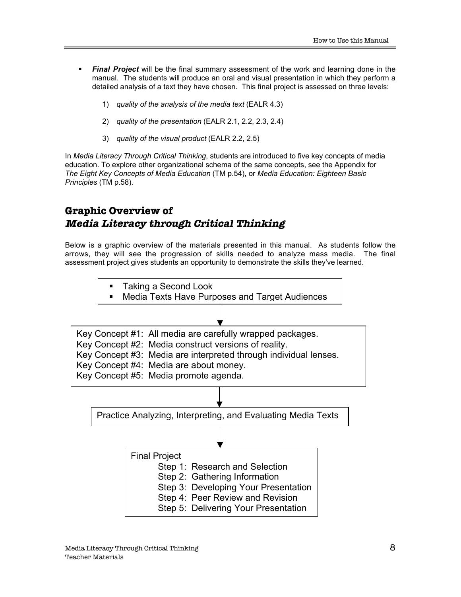- **Final Project** will be the final summary assessment of the work and learning done in the manual. The students will produce an oral and visual presentation in which they perform a detailed analysis of a text they have chosen. This final project is assessed on three levels:
	- 1) *quality of the analysis of the media text* (EALR 4.3)
	- 2) *quality of the presentation* (EALR 2.1, 2.2, 2.3, 2.4)
	- 3) *quality of the visual product* (EALR 2.2, 2.5)

In *Media Literacy Through Critical Thinking*, students are introduced to five key concepts of media education. To explore other organizational schema of the same concepts, see the Appendix for *The Eight Key Concepts of Media Education* (TM p.54), or *Media Education: Eighteen Basic Principles* (TM p.58).

### **Graphic Overview of Media Literacy through Critical Thinking**

Below is a graphic overview of the materials presented in this manual. As students follow the arrows, they will see the progression of skills needed to analyze mass media. The final assessment project gives students an opportunity to demonstrate the skills they've learned.

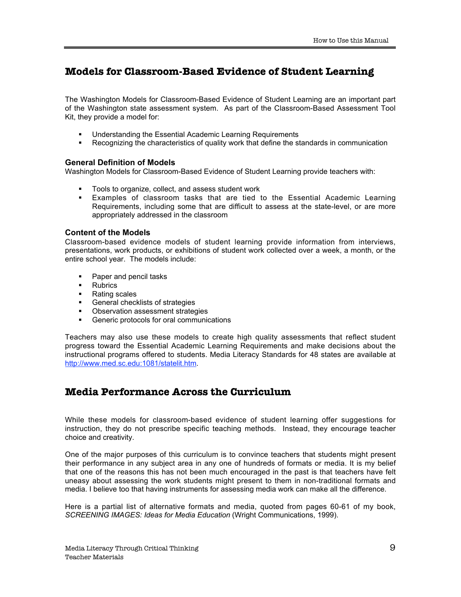## **Models for Classroom-Based Evidence of Student Learning**

The Washington Models for Classroom-Based Evidence of Student Learning are an important part of the Washington state assessment system. As part of the Classroom-Based Assessment Tool Kit, they provide a model for:

- **■** Understanding the Essential Academic Learning Requirements
- ß Recognizing the characteristics of quality work that define the standards in communication

### **General Definition of Models**

Washington Models for Classroom-Based Evidence of Student Learning provide teachers with:

- ß Tools to organize, collect, and assess student work
- ß Examples of classroom tasks that are tied to the Essential Academic Learning Requirements, including some that are difficult to assess at the state-level, or are more appropriately addressed in the classroom

### **Content of the Models**

Classroom-based evidence models of student learning provide information from interviews, presentations, work products, or exhibitions of student work collected over a week, a month, or the entire school year. The models include:

- Paper and pencil tasks
- **Rubrics**
- Rating scales
- **•** General checklists of strategies
- **Observation assessment strategies**
- **•** Generic protocols for oral communications

Teachers may also use these models to create high quality assessments that reflect student progress toward the Essential Academic Learning Requirements and make decisions about the instructional programs offered to students. Media Literacy Standards for 48 states are available at http://www.med.sc.edu:1081/statelit.htm.

### **Media Performance Across the Curriculum**

While these models for classroom-based evidence of student learning offer suggestions for instruction, they do not prescribe specific teaching methods. Instead, they encourage teacher choice and creativity.

One of the major purposes of this curriculum is to convince teachers that students might present their performance in any subject area in any one of hundreds of formats or media. It is my belief that one of the reasons this has not been much encouraged in the past is that teachers have felt uneasy about assessing the work students might present to them in non-traditional formats and media. I believe too that having instruments for assessing media work can make all the difference.

Here is a partial list of alternative formats and media, quoted from pages 60-61 of my book, *SCREENING IMAGES: Ideas for Media Education* (Wright Communications, 1999).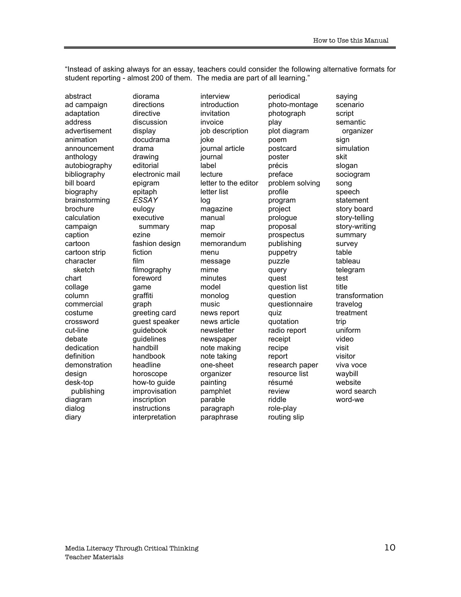"Instead of asking always for an essay, teachers could consider the following alternative formats for student reporting - almost 200 of them. The media are part of all learning."

abstract ad campaign adaptation address advertisement animation announcement anthology autobiography bibliography bill board biography brainstorming brochure calculation campaign caption cartoon cartoon strip character sketch chart collage column commercial costume crossword cut-line debate dedication definition demonstration design desk-top publishing diagram dialog diary

diorama directions directive discussion display docudrama drama drawing editorial electronic mail epigram epitaph *ESSAY* eulogy executive summary ezine fashion design fiction film filmography foreword game graffiti graph greeting card guest speaker guidebook guidelines handbill handbook headline horoscope how-to guide improvisation inscription instructions interpretation

interview introduction invitation invoice job description joke journal article journal label lecture letter to the editor letter list log magazine manual map memoir memorandum menu message mime minutes model monolog music news report news article newsletter newspaper note making note taking one-sheet organizer painting pamphlet parable paragraph paraphrase

periodical photo-montage photograph play plot diagram poem postcard poster précis preface problem solving profile program project prologue proposal prospectus publishing puppetry puzzle query quest question list question questionnaire quiz quotation radio report receipt recipe report research paper resource list résumé review riddle role-play routing slip

saying scenario script semantic organizer sign simulation skit slogan sociogram song speech statement story board story-telling story-writing summary survey table tableau telegram test title transformation travelog treatment trip uniform video visit visitor viva voce waybill website word search word-we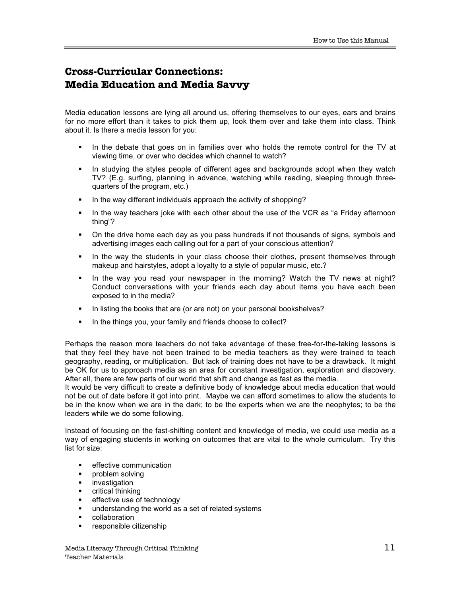# **Cross-Curricular Connections: Media Education and Media Savvy**

Media education lessons are lying all around us, offering themselves to our eyes, ears and brains for no more effort than it takes to pick them up, look them over and take them into class. Think about it. Is there a media lesson for you:

- ß In the debate that goes on in families over who holds the remote control for the TV at viewing time, or over who decides which channel to watch?
- ß In studying the styles people of different ages and backgrounds adopt when they watch TV? (E.g. surfing, planning in advance, watching while reading, sleeping through threequarters of the program, etc.)
- ß In the way different individuals approach the activity of shopping?
- In the way teachers joke with each other about the use of the VCR as "a Friday afternoon thing"?
- ß On the drive home each day as you pass hundreds if not thousands of signs, symbols and advertising images each calling out for a part of your conscious attention?
- In the way the students in your class choose their clothes, present themselves through makeup and hairstyles, adopt a loyalty to a style of popular music, etc.?
- ß In the way you read your newspaper in the morning? Watch the TV news at night? Conduct conversations with your friends each day about items you have each been exposed to in the media?
- ß In listing the books that are (or are not) on your personal bookshelves?
- ß In the things you, your family and friends choose to collect?

Perhaps the reason more teachers do not take advantage of these free-for-the-taking lessons is that they feel they have not been trained to be media teachers as they were trained to teach geography, reading, or multiplication. But lack of training does not have to be a drawback. It might be OK for us to approach media as an area for constant investigation, exploration and discovery. After all, there are few parts of our world that shift and change as fast as the media.

It would be very difficult to create a definitive body of knowledge about media education that would not be out of date before it got into print. Maybe we can afford sometimes to allow the students to be in the know when we are in the dark; to be the experts when we are the neophytes; to be the leaders while we do some following.

Instead of focusing on the fast-shifting content and knowledge of media, we could use media as a way of engaging students in working on outcomes that are vital to the whole curriculum. Try this list for size:

- effective communication
- ß problem solving
- **u** investigation
- $\blacksquare$  critical thinking
- **EXECTED** effective use of technology
- **understanding the world as a set of related systems**
- collaboration
- ß responsible citizenship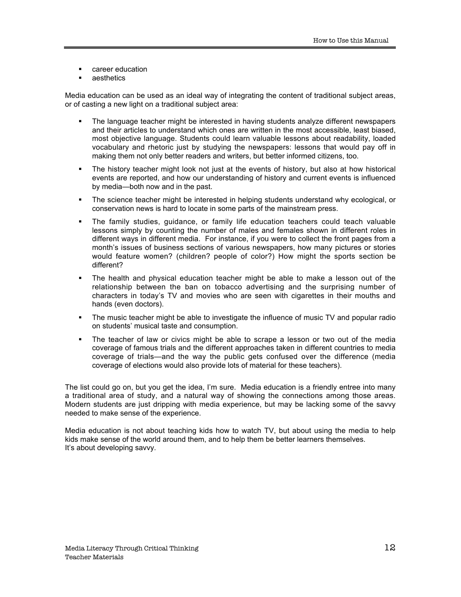- **EXEC** career education
- ß aesthetics

Media education can be used as an ideal way of integrating the content of traditional subject areas, or of casting a new light on a traditional subject area:

- ß The language teacher might be interested in having students analyze different newspapers and their articles to understand which ones are written in the most accessible, least biased, most objective language. Students could learn valuable lessons about readability, loaded vocabulary and rhetoric just by studying the newspapers: lessons that would pay off in making them not only better readers and writers, but better informed citizens, too.
- ß The history teacher might look not just at the events of history, but also at how historical events are reported, and how our understanding of history and current events is influenced by media—both now and in the past.
- ß The science teacher might be interested in helping students understand why ecological, or conservation news is hard to locate in some parts of the mainstream press.
- ß The family studies, guidance, or family life education teachers could teach valuable lessons simply by counting the number of males and females shown in different roles in different ways in different media. For instance, if you were to collect the front pages from a month's issues of business sections of various newspapers, how many pictures or stories would feature women? (children? people of color?) How might the sports section be different?
- ß The health and physical education teacher might be able to make a lesson out of the relationship between the ban on tobacco advertising and the surprising number of characters in today's TV and movies who are seen with cigarettes in their mouths and hands (even doctors).
- ß The music teacher might be able to investigate the influence of music TV and popular radio on students' musical taste and consumption.
- ß The teacher of law or civics might be able to scrape a lesson or two out of the media coverage of famous trials and the different approaches taken in different countries to media coverage of trials—and the way the public gets confused over the difference (media coverage of elections would also provide lots of material for these teachers).

The list could go on, but you get the idea, I'm sure. Media education is a friendly entree into many a traditional area of study, and a natural way of showing the connections among those areas. Modern students are just dripping with media experience, but may be lacking some of the savvy needed to make sense of the experience.

Media education is not about teaching kids how to watch TV, but about using the media to help kids make sense of the world around them, and to help them be better learners themselves. It's about developing savvy.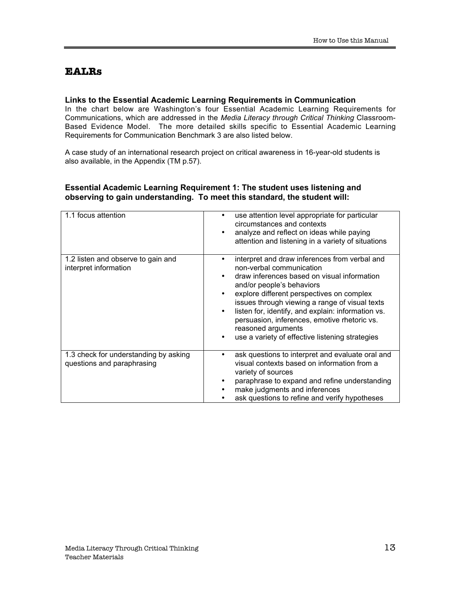### **EALRs**

### **Links to the Essential Academic Learning Requirements in Communication**

In the chart below are Washington's four Essential Academic Learning Requirements for Communications, which are addressed in the *Media Literacy through Critical Thinking* Classroom-Based Evidence Model. The more detailed skills specific to Essential Academic Learning Requirements for Communication Benchmark 3 are also listed below.

A case study of an international research project on critical awareness in 16-year-old students is also available, in the Appendix (TM p.57).

### **Essential Academic Learning Requirement 1: The student uses listening and observing to gain understanding. To meet this standard, the student will:**

| 1.1 focus attention                                                 | use attention level appropriate for particular<br>circumstances and contexts<br>analyze and reflect on ideas while paying<br>attention and listening in a variety of situations                                                                                                                                                                                                                                                     |
|---------------------------------------------------------------------|-------------------------------------------------------------------------------------------------------------------------------------------------------------------------------------------------------------------------------------------------------------------------------------------------------------------------------------------------------------------------------------------------------------------------------------|
| 1.2 listen and observe to gain and<br>interpret information         | interpret and draw inferences from verbal and<br>non-verbal communication<br>draw inferences based on visual information<br>and/or people's behaviors<br>explore different perspectives on complex<br>issues through viewing a range of visual texts<br>listen for, identify, and explain: information vs.<br>persuasion, inferences, emotive rhetoric vs.<br>reasoned arguments<br>use a variety of effective listening strategies |
| 1.3 check for understanding by asking<br>questions and paraphrasing | ask questions to interpret and evaluate oral and<br>visual contexts based on information from a<br>variety of sources<br>paraphrase to expand and refine understanding<br>make judgments and inferences<br>ask questions to refine and verify hypotheses                                                                                                                                                                            |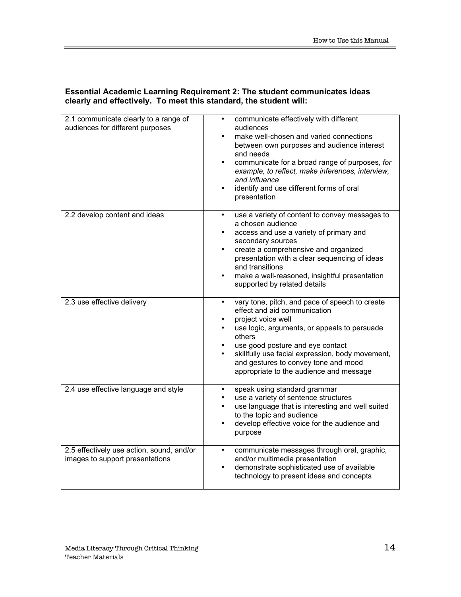| 2.1 communicate clearly to a range of<br>audiences for different purposes    | communicate effectively with different<br>audiences<br>make well-chosen and varied connections<br>between own purposes and audience interest<br>and needs<br>communicate for a broad range of purposes, for<br>example, to reflect, make inferences, interview,<br>and influence<br>identify and use different forms of oral<br>presentation |
|------------------------------------------------------------------------------|----------------------------------------------------------------------------------------------------------------------------------------------------------------------------------------------------------------------------------------------------------------------------------------------------------------------------------------------|
| 2.2 develop content and ideas                                                | use a variety of content to convey messages to<br>a chosen audience<br>access and use a variety of primary and<br>secondary sources<br>create a comprehensive and organized<br>presentation with a clear sequencing of ideas<br>and transitions<br>make a well-reasoned, insightful presentation<br>supported by related details             |
| 2.3 use effective delivery                                                   | vary tone, pitch, and pace of speech to create<br>effect and aid communication<br>project voice well<br>use logic, arguments, or appeals to persuade<br>others<br>use good posture and eye contact<br>skillfully use facial expression, body movement,<br>and gestures to convey tone and mood<br>appropriate to the audience and message    |
| 2.4 use effective language and style                                         | speak using standard grammar<br>use a variety of sentence structures<br>use language that is interesting and well suited<br>to the topic and audience<br>develop effective voice for the audience and<br>purpose                                                                                                                             |
| 2.5 effectively use action, sound, and/or<br>images to support presentations | communicate messages through oral, graphic,<br>and/or multimedia presentation<br>demonstrate sophisticated use of available<br>technology to present ideas and concepts                                                                                                                                                                      |

### **Essential Academic Learning Requirement 2: The student communicates ideas clearly and effectively. To meet this standard, the student will:**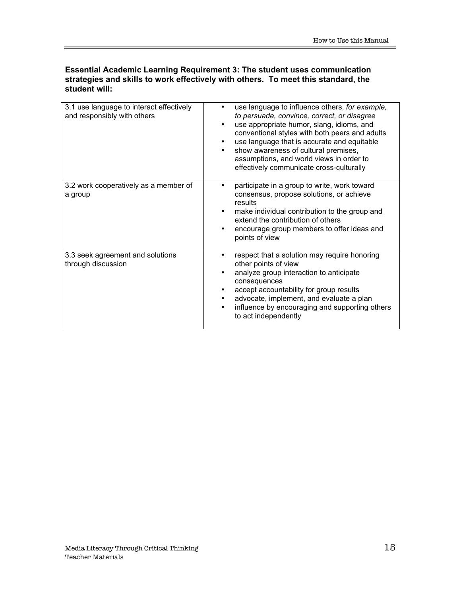### **Essential Academic Learning Requirement 3: The student uses communication strategies and skills to work effectively with others. To meet this standard, the student will:**

| 3.1 use language to interact effectively<br>and responsibly with others | use language to influence others, for example,<br>to persuade, convince, correct, or disagree<br>use appropriate humor, slang, idioms, and<br>conventional styles with both peers and adults<br>use language that is accurate and equitable<br>show awareness of cultural premises,<br>assumptions, and world views in order to<br>effectively communicate cross-culturally |
|-------------------------------------------------------------------------|-----------------------------------------------------------------------------------------------------------------------------------------------------------------------------------------------------------------------------------------------------------------------------------------------------------------------------------------------------------------------------|
| 3.2 work cooperatively as a member of<br>a group                        | participate in a group to write, work toward<br>consensus, propose solutions, or achieve<br>results<br>make individual contribution to the group and<br>extend the contribution of others<br>encourage group members to offer ideas and<br>points of view                                                                                                                   |
| 3.3 seek agreement and solutions<br>through discussion                  | respect that a solution may require honoring<br>other points of view<br>analyze group interaction to anticipate<br>consequences<br>accept accountability for group results<br>advocate, implement, and evaluate a plan<br>influence by encouraging and supporting others<br>to act independently                                                                            |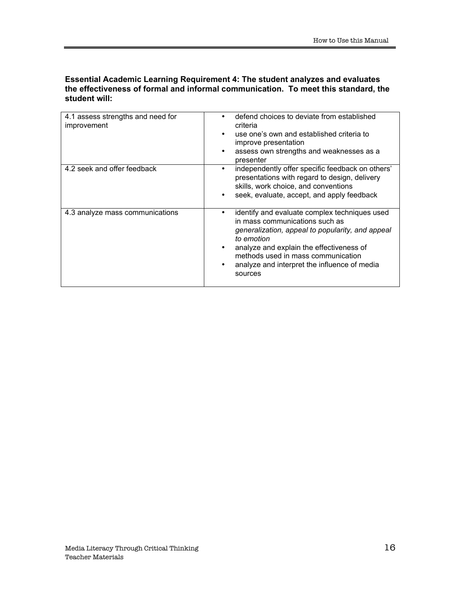### **Essential Academic Learning Requirement 4: The student analyzes and evaluates the effectiveness of formal and informal communication. To meet this standard, the student will:**

| 4.1 assess strengths and need for<br>improvement | defend choices to deviate from established<br>criteria<br>use one's own and established criteria to<br>improve presentation<br>assess own strengths and weaknesses as a<br>presenter                                                                                                           |
|--------------------------------------------------|------------------------------------------------------------------------------------------------------------------------------------------------------------------------------------------------------------------------------------------------------------------------------------------------|
| 4.2 seek and offer feedback                      | independently offer specific feedback on others'<br>presentations with regard to design, delivery<br>skills, work choice, and conventions<br>seek, evaluate, accept, and apply feedback                                                                                                        |
| 4.3 analyze mass communications                  | identify and evaluate complex techniques used<br>in mass communications such as<br>generalization, appeal to popularity, and appeal<br>to emotion<br>analyze and explain the effectiveness of<br>methods used in mass communication<br>analyze and interpret the influence of media<br>sources |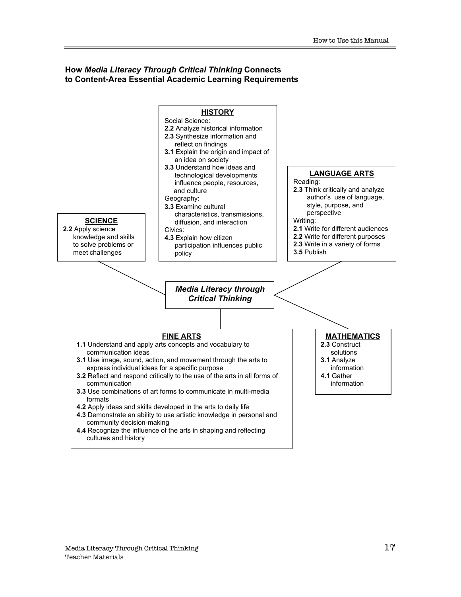### **How** *Media Literacy Through Critical Thinking* **Connects to Content-Area Essential Academic Learning Requirements**

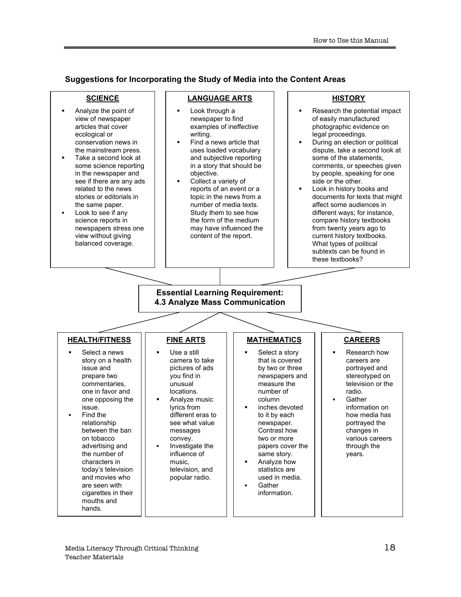**Suggestions for Incorporating the Study of Media into the Content Areas**

### **SCIENCE**

- ß Analyze the point of view of newspaper articles that cover ecological or conservation news in the mainstream press.
- ß Take a second look at some science reporting in the newspaper and see if there are any ads related to the news stories or editorials in the same paper.
- ß Look to see if any science reports in newspapers stress one view without giving balanced coverage.

### **LANGUAGE ARTS**

- Look through a newspaper to find examples of ineffective writing.
- ß Find a news article that uses loaded vocabulary and subjective reporting in a story that should be objective.
- ß Collect a variety of reports of an event or a topic in the news from a number of media texts. Study them to see how the form of the medium may have influenced the content of the report.

### **HISTORY**

- Research the potential impact of easily manufactured photographic evidence on legal proceedings.
- ß During an election or political dispute, take a second look at some of the statements, comments, or speeches given by people, speaking for one side or the other.
- ß Look in history books and documents for texts that might affect some audiences in different ways; for instance, compare history textbooks from twenty years ago to current history textbooks. What types of political subtexts can be found in these textbooks?

#### **Essential Learning Requirement: 4.3 Analyze Mass Communication**

### **HEALTH/FITNESS**

- Select a news story on a health issue and prepare two commentaries, one in favor and one opposing the issue.
- ß Find the relationship between the ban on tobacco advertising and the number of characters in today's television and movies who are seen with cigarettes in their mouths and hands.

### **FINE ARTS**

- **Use a still** camera to take pictures of ads you find in unusual locations. • Analyze music
- lyrics from different eras to see what value messages convey. **Investigate the**
- influence of music, television, and popular radio.

### **MATHEMATICS**

Select a story that is covered by two or three newspapers and measure the number of column ß inches devoted to it by each newspaper.

Contrast how two or more papers cover the same story. ß Analyze how statistics are used in media. **Gather** information.

- **CAREERS**
- Research how careers are portrayed and stereotyped on television or the radio.
- **Gather** information on how media has portrayed the changes in various careers through the years.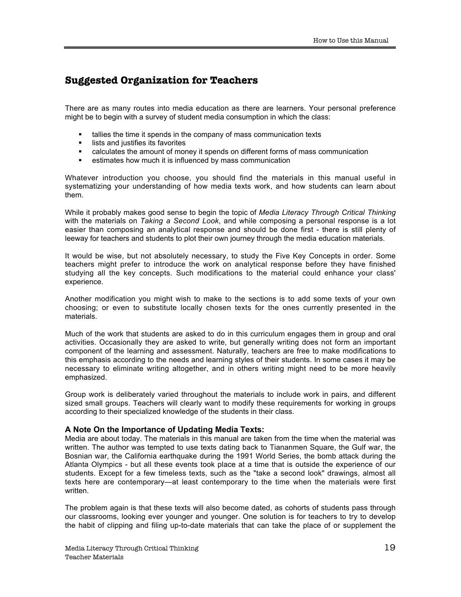### **Suggested Organization for Teachers**

There are as many routes into media education as there are learners. Your personal preference might be to begin with a survey of student media consumption in which the class:

- **In tallies the time it spends in the company of mass communication texts**
- ß lists and justifies its favorites
- ß calculates the amount of money it spends on different forms of mass communication
- estimates how much it is influenced by mass communication

Whatever introduction you choose, you should find the materials in this manual useful in systematizing your understanding of how media texts work, and how students can learn about them.

While it probably makes good sense to begin the topic of *Media Literacy Through Critical Thinking* with the materials on *Taking a Second Look*, and while composing a personal response is a lot easier than composing an analytical response and should be done first - there is still plenty of leeway for teachers and students to plot their own journey through the media education materials.

It would be wise, but not absolutely necessary, to study the Five Key Concepts in order. Some teachers might prefer to introduce the work on analytical response before they have finished studying all the key concepts. Such modifications to the material could enhance your class' experience.

Another modification you might wish to make to the sections is to add some texts of your own choosing; or even to substitute locally chosen texts for the ones currently presented in the materials.

Much of the work that students are asked to do in this curriculum engages them in group and oral activities. Occasionally they are asked to write, but generally writing does not form an important component of the learning and assessment. Naturally, teachers are free to make modifications to this emphasis according to the needs and learning styles of their students. In some cases it may be necessary to eliminate writing altogether, and in others writing might need to be more heavily emphasized.

Group work is deliberately varied throughout the materials to include work in pairs, and different sized small groups. Teachers will clearly want to modify these requirements for working in groups according to their specialized knowledge of the students in their class.

### **A Note On the Importance of Updating Media Texts:**

Media are about today. The materials in this manual are taken from the time when the material was written. The author was tempted to use texts dating back to Tiananmen Square, the Gulf war, the Bosnian war, the California earthquake during the 1991 World Series, the bomb attack during the Atlanta Olympics - but all these events took place at a time that is outside the experience of our students. Except for a few timeless texts, such as the "take a second look" drawings, almost all texts here are contemporary—at least contemporary to the time when the materials were first written.

The problem again is that these texts will also become dated, as cohorts of students pass through our classrooms, looking ever younger and younger. One solution is for teachers to try to develop the habit of clipping and filing up-to-date materials that can take the place of or supplement the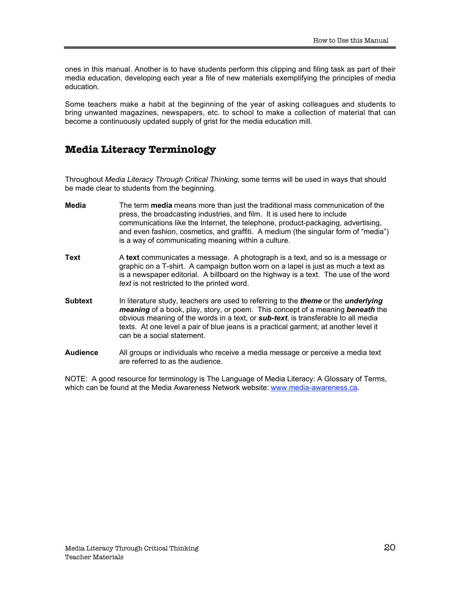ones in this manual. Another is to have students perform this clipping and filing task as part of their media education, developing each year a file of new materials exemplifying the principles of media education.

Some teachers make a habit at the beginning of the year of asking colleagues and students to bring unwanted magazines, newspapers, etc. to school to make a collection of material that can become a continuously updated supply of grist for the media education mill.

### **Media Literacy Terminology**

Throughout *Media Literacy Through Critical Thinking*, some terms will be used in ways that should be made clear to students from the beginning.

- **Media** The term **media** means more than just the traditional mass communication of the press, the broadcasting industries, and film. It is used here to include communications like the Internet, the telephone, product-packaging, advertising, and even fashion, cosmetics, and graffiti. A medium (the singular form of "media") is a way of communicating meaning within a culture.
- **Text** A **text** communicates a message. A photograph is a text, and so is a message or graphic on a T-shirt. A campaign button worn on a lapel is just as much a text as is a newspaper editorial. A billboard on the highway is a text. The use of the word *text* is not restricted to the printed word.
- **Subtext** In literature study, teachers are used to referring to the *theme* or the *underlying meaning* of a book, play, story, or poem. This concept of a meaning *beneath* the obvious meaning of the words in a text, or *sub-text*, is transferable to all media texts. At one level a pair of blue jeans is a practical garment; at another level it can be a social statement.
- **Audience** All groups or individuals who receive a media message or perceive a media text are referred to as the audience.

NOTE: A good resource for terminology is The Language of Media Literacy: A Glossary of Terms, which can be found at the Media Awareness Network website: www.media-awareness.ca.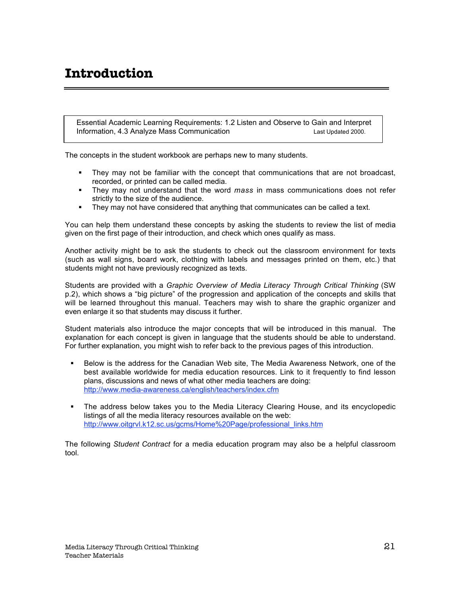# **Introduction**

Essential Academic Learning Requirements: 1.2 Listen and Observe to Gain and Interpret Information, 4.3 Analyze Mass Communication Last Updated 2000.

The concepts in the student workbook are perhaps new to many students.

- ß They may not be familiar with the concept that communications that are not broadcast, recorded, or printed can be called media.
- **They may not understand that the word** *mass* in mass communications does not refer strictly to the size of the audience.
- **They may not have considered that anything that communicates can be called a text.**

You can help them understand these concepts by asking the students to review the list of media given on the first page of their introduction, and check which ones qualify as mass.

Another activity might be to ask the students to check out the classroom environment for texts (such as wall signs, board work, clothing with labels and messages printed on them, etc.) that students might not have previously recognized as texts.

Students are provided with a *Graphic Overview of Media Literacy Through Critical Thinking* (SW p.2), which shows a "big picture" of the progression and application of the concepts and skills that will be learned throughout this manual. Teachers may wish to share the graphic organizer and even enlarge it so that students may discuss it further.

Student materials also introduce the major concepts that will be introduced in this manual. The explanation for each concept is given in language that the students should be able to understand. For further explanation, you might wish to refer back to the previous pages of this introduction.

- **Below is the address for the Canadian Web site, The Media Awareness Network, one of the** best available worldwide for media education resources. Link to it frequently to find lesson plans, discussions and news of what other media teachers are doing: http://www.media-awareness.ca/english/teachers/index.cfm
- The address below takes you to the Media Literacy Clearing House, and its encyclopedic listings of all the media literacy resources available on the web: http://www.oitgrvl.k12.sc.us/gcms/Home%20Page/professional\_links.htm

The following *Student Contract* for a media education program may also be a helpful classroom tool.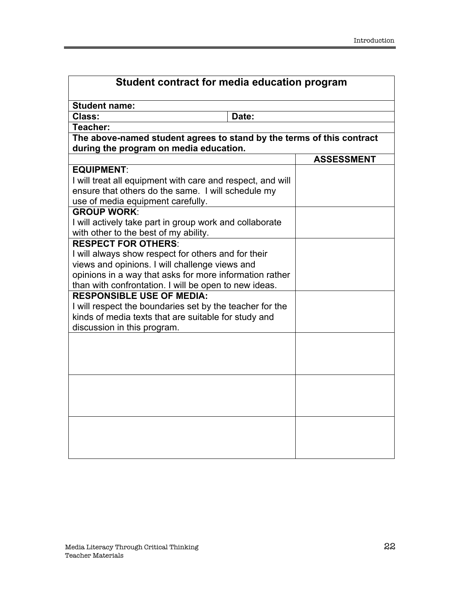| Student contract for media education program                                                                                                                                        |       |                   |
|-------------------------------------------------------------------------------------------------------------------------------------------------------------------------------------|-------|-------------------|
| <b>Student name:</b>                                                                                                                                                                |       |                   |
| Class:                                                                                                                                                                              | Date: |                   |
| Teacher:                                                                                                                                                                            |       |                   |
| The above-named student agrees to stand by the terms of this contract<br>during the program on media education.                                                                     |       |                   |
|                                                                                                                                                                                     |       | <b>ASSESSMENT</b> |
| <b>EQUIPMENT:</b>                                                                                                                                                                   |       |                   |
| I will treat all equipment with care and respect, and will<br>ensure that others do the same. I will schedule my<br>use of media equipment carefully.                               |       |                   |
| <b>GROUP WORK:</b>                                                                                                                                                                  |       |                   |
| I will actively take part in group work and collaborate<br>with other to the best of my ability.                                                                                    |       |                   |
| <b>RESPECT FOR OTHERS:</b>                                                                                                                                                          |       |                   |
| I will always show respect for others and for their                                                                                                                                 |       |                   |
| views and opinions. I will challenge views and                                                                                                                                      |       |                   |
| opinions in a way that asks for more information rather                                                                                                                             |       |                   |
| than with confrontation. I will be open to new ideas.                                                                                                                               |       |                   |
| <b>RESPONSIBLE USE OF MEDIA:</b><br>I will respect the boundaries set by the teacher for the<br>kinds of media texts that are suitable for study and<br>discussion in this program. |       |                   |
|                                                                                                                                                                                     |       |                   |
|                                                                                                                                                                                     |       |                   |
|                                                                                                                                                                                     |       |                   |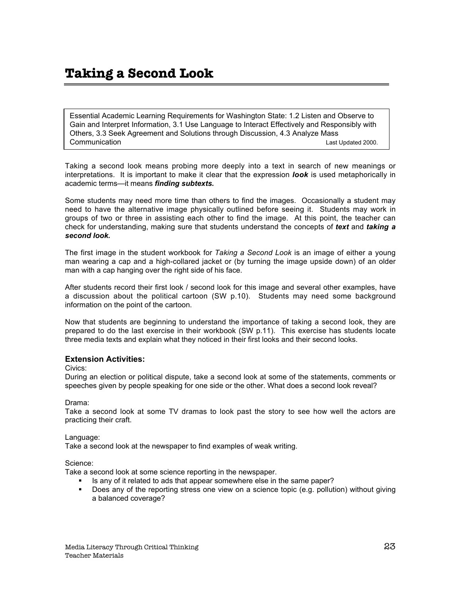# **Taking a Second Look**

Essential Academic Learning Requirements for Washington State: 1.2 Listen and Observe to Gain and Interpret Information, 3.1 Use Language to Interact Effectively and Responsibly with Others, 3.3 Seek Agreement and Solutions through Discussion, 4.3 Analyze Mass **Communication Last Updated 2000.** Communication Last Updated 2000.

Taking a second look means probing more deeply into a text in search of new meanings or interpretations. It is important to make it clear that the expression *look* is used metaphorically in academic terms—it means *finding subtexts.*

Some students may need more time than others to find the images. Occasionally a student may need to have the alternative image physically outlined before seeing it. Students may work in groups of two or three in assisting each other to find the image. At this point, the teacher can check for understanding, making sure that students understand the concepts of *text* and *taking a second look.*

The first image in the student workbook for *Taking a Second Look* is an image of either a young man wearing a cap and a high-collared jacket or (by turning the image upside down) of an older man with a cap hanging over the right side of his face.

After students record their first look / second look for this image and several other examples, have a discussion about the political cartoon (SW p.10). Students may need some background information on the point of the cartoon.

Now that students are beginning to understand the importance of taking a second look, they are prepared to do the last exercise in their workbook (SW p.11). This exercise has students locate three media texts and explain what they noticed in their first looks and their second looks.

### **Extension Activities:**

#### Civics:

During an election or political dispute, take a second look at some of the statements, comments or speeches given by people speaking for one side or the other. What does a second look reveal?

Drama:

Take a second look at some TV dramas to look past the story to see how well the actors are practicing their craft.

### Language:

Take a second look at the newspaper to find examples of weak writing.

#### Science:

Take a second look at some science reporting in the newspaper.

- ß Is any of it related to ads that appear somewhere else in the same paper?
- ß Does any of the reporting stress one view on a science topic (e.g. pollution) without giving a balanced coverage?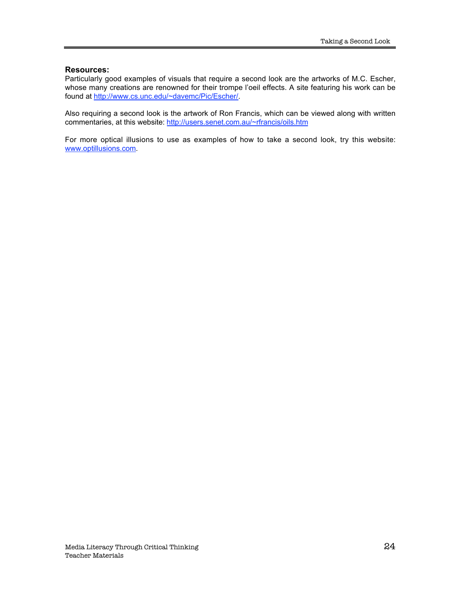### **Resources:**

Particularly good examples of visuals that require a second look are the artworks of M.C. Escher, whose many creations are renowned for their trompe l'oeil effects. A site featuring his work can be found at http://www.cs.unc.edu/~davemc/Pic/Escher/.

Also requiring a second look is the artwork of Ron Francis, which can be viewed along with written commentaries, at this website: http://users.senet.com.au/~rfrancis/oils.htm

For more optical illusions to use as examples of how to take a second look, try this website: www.optillusions.com.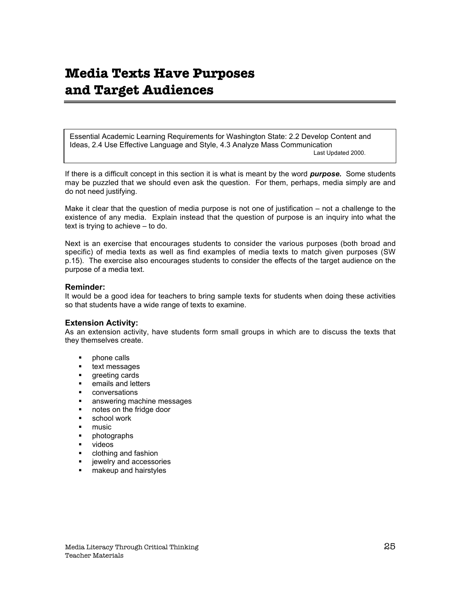# **Media Texts Have Purposes and Target Audiences**

Essential Academic Learning Requirements for Washington State: 2.2 Develop Content and Ideas, 2.4 Use Effective Language and Style, 4.3 Analyze Mass Communication Last Updated 2000.

If there is a difficult concept in this section it is what is meant by the word *purpose.* Some students may be puzzled that we should even ask the question. For them, perhaps, media simply are and do not need justifying.

Make it clear that the question of media purpose is not one of justification – not a challenge to the existence of any media. Explain instead that the question of purpose is an inquiry into what the text is trying to achieve – to do.

Next is an exercise that encourages students to consider the various purposes (both broad and specific) of media texts as well as find examples of media texts to match given purposes (SW p.15). The exercise also encourages students to consider the effects of the target audience on the purpose of a media text.

### **Reminder:**

It would be a good idea for teachers to bring sample texts for students when doing these activities so that students have a wide range of texts to examine.

### **Extension Activity:**

As an extension activity, have students form small groups in which are to discuss the texts that they themselves create.

- ß phone calls
- text messages
- greeting cards
- ß emails and letters
- ß conversations
- ß answering machine messages
- ß notes on the fridge door
- school work
- music
- **•** photographs
- videos
- ß clothing and fashion
- jewelry and accessories
- **nakeup and hairstyles**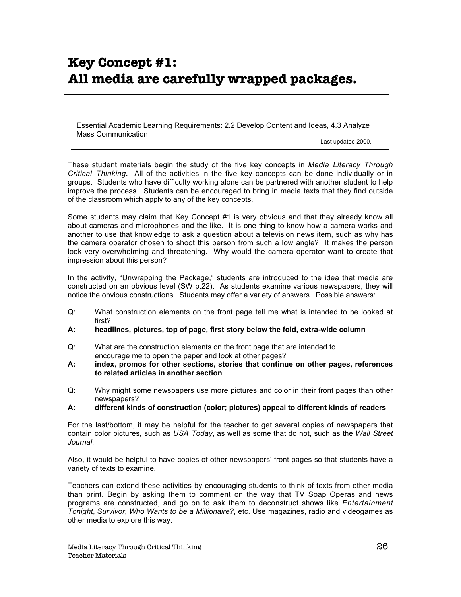# **Key Concept #1: All media are carefully wrapped packages.**

Essential Academic Learning Requirements: 2.2 Develop Content and Ideas, 4.3 Analyze Mass Communication

Last updated 2000.

These student materials begin the study of the five key concepts in *Media Literacy Through Critical Thinking.* All of the activities in the five key concepts can be done individually or in groups. Students who have difficulty working alone can be partnered with another student to help improve the process. Students can be encouraged to bring in media texts that they find outside of the classroom which apply to any of the key concepts.

Some students may claim that Key Concept #1 is very obvious and that they already know all about cameras and microphones and the like. It is one thing to know how a camera works and another to use that knowledge to ask a question about a television news item, such as why has the camera operator chosen to shoot this person from such a low angle? It makes the person look very overwhelming and threatening. Why would the camera operator want to create that impression about this person?

In the activity, "Unwrapping the Package," students are introduced to the idea that media are constructed on an obvious level (SW p.22). As students examine various newspapers, they will notice the obvious constructions. Students may offer a variety of answers. Possible answers:

- Q: What construction elements on the front page tell me what is intended to be looked at first?
- **A: headlines, pictures, top of page, first story below the fold, extra-wide column**
- Q: What are the construction elements on the front page that are intended to encourage me to open the paper and look at other pages?
- **A: index, promos for other sections, stories that continue on other pages, references to related articles in another section**
- Q: Why might some newspapers use more pictures and color in their front pages than other newspapers?
- **A: different kinds of construction (color; pictures) appeal to different kinds of readers**

For the last/bottom, it may be helpful for the teacher to get several copies of newspapers that contain color pictures, such as *USA Today*, as well as some that do not, such as the *Wall Street Journal*.

Also, it would be helpful to have copies of other newspapers' front pages so that students have a variety of texts to examine.

Teachers can extend these activities by encouraging students to think of texts from other media than print. Begin by asking them to comment on the way that TV Soap Operas and news programs are constructed, and go on to ask them to deconstruct shows like *Entertainment Tonight*, *Survivor*, *Who Wants to be a Millionaire?*, etc. Use magazines, radio and videogames as other media to explore this way.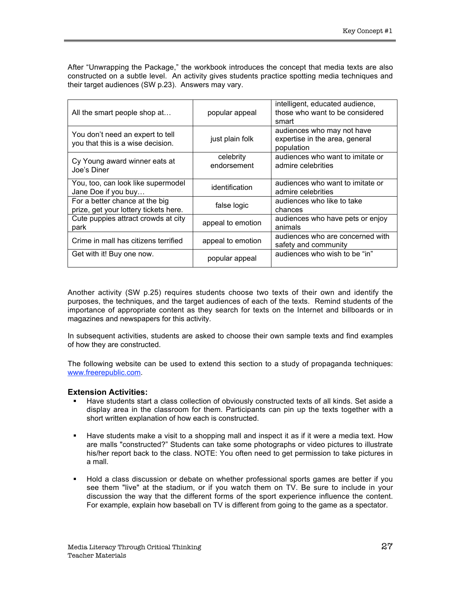After "Unwrapping the Package," the workbook introduces the concept that media texts are also constructed on a subtle level. An activity gives students practice spotting media techniques and their target audiences (SW p.23). Answers may vary.

| All the smart people shop at                                            | popular appeal           | intelligent, educated audience,<br>those who want to be considered<br>smart |
|-------------------------------------------------------------------------|--------------------------|-----------------------------------------------------------------------------|
| You don't need an expert to tell<br>you that this is a wise decision.   | just plain folk          | audiences who may not have<br>expertise in the area, general<br>population  |
| Cy Young award winner eats at<br>Joe's Diner                            | celebrity<br>endorsement | audiences who want to imitate or<br>admire celebrities                      |
| You, too, can look like supermodel<br>Jane Doe if you buy               | identification           | audiences who want to imitate or<br>admire celebrities                      |
| For a better chance at the big<br>prize, get your lottery tickets here. | false logic              | audiences who like to take<br>chances                                       |
| Cute puppies attract crowds at city<br>park                             | appeal to emotion        | audiences who have pets or enjoy<br>animals                                 |
| Crime in mall has citizens terrified                                    | appeal to emotion        | audiences who are concerned with<br>safety and community                    |
| Get with it! Buy one now.                                               | popular appeal           | audiences who wish to be "in"                                               |

Another activity (SW p.25) requires students choose two texts of their own and identify the purposes, the techniques, and the target audiences of each of the texts. Remind students of the importance of appropriate content as they search for texts on the Internet and billboards or in magazines and newspapers for this activity.

In subsequent activities, students are asked to choose their own sample texts and find examples of how they are constructed.

The following website can be used to extend this section to a study of propaganda techniques: www.freerepublic.com.

### **Extension Activities:**

- ß Have students start a class collection of obviously constructed texts of all kinds. Set aside a display area in the classroom for them. Participants can pin up the texts together with a short written explanation of how each is constructed.
- ß Have students make a visit to a shopping mall and inspect it as if it were a media text. How are malls "constructed?" Students can take some photographs or video pictures to illustrate his/her report back to the class. NOTE: You often need to get permission to take pictures in a mall.
- ß Hold a class discussion or debate on whether professional sports games are better if you see them "live" at the stadium, or if you watch them on TV. Be sure to include in your discussion the way that the different forms of the sport experience influence the content. For example, explain how baseball on TV is different from going to the game as a spectator.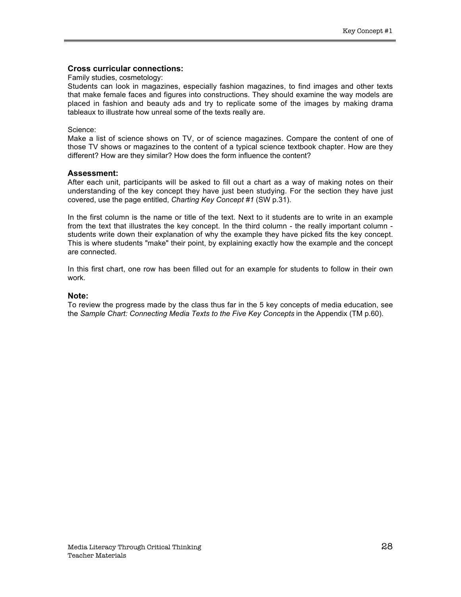### **Cross curricular connections:**

#### Family studies, cosmetology:

Students can look in magazines, especially fashion magazines, to find images and other texts that make female faces and figures into constructions. They should examine the way models are placed in fashion and beauty ads and try to replicate some of the images by making drama tableaux to illustrate how unreal some of the texts really are.

#### Science:

Make a list of science shows on TV, or of science magazines. Compare the content of one of those TV shows or magazines to the content of a typical science textbook chapter. How are they different? How are they similar? How does the form influence the content?

#### **Assessment:**

After each unit, participants will be asked to fill out a chart as a way of making notes on their understanding of the key concept they have just been studying. For the section they have just covered, use the page entitled, *Charting Key Concept #1* (SW p.31).

In the first column is the name or title of the text. Next to it students are to write in an example from the text that illustrates the key concept. In the third column - the really important column students write down their explanation of why the example they have picked fits the key concept. This is where students "make" their point, by explaining exactly how the example and the concept are connected.

In this first chart, one row has been filled out for an example for students to follow in their own work.

#### **Note:**

To review the progress made by the class thus far in the 5 key concepts of media education, see the *Sample Chart: Connecting Media Texts to the Five Key Concepts* in the Appendix (TM p.60).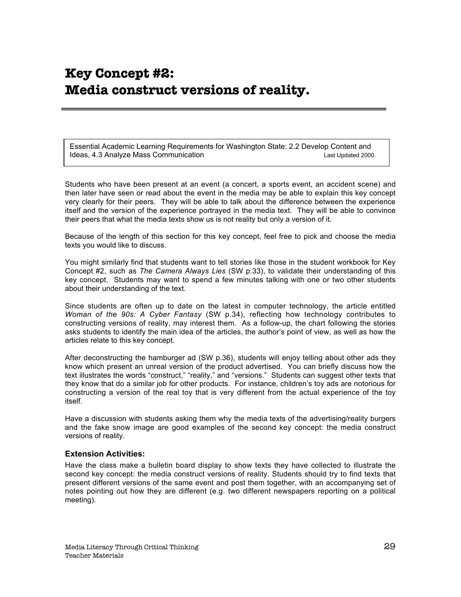# **Key Concept #2: Media construct versions of reality.**

Essential Academic Learning Requirements for Washington State: 2.2 Develop Content and Ideas, 4.3 Analyze Mass Communication Last Updated 2000.

Students who have been present at an event (a concert, a sports event, an accident scene) and then later have seen or read about the event in the media may be able to explain this key concept very clearly for their peers. They will be able to talk about the difference between the experience itself and the version of the experience portrayed in the media text. They will be able to convince their peers that what the media texts show us is not reality but only a version of it.

Because of the length of this section for this key concept, feel free to pick and choose the media texts you would like to discuss.

You might similarly find that students want to tell stories like those in the student workbook for Key Concept #2, such as *The Camera Always Lies* (SW p.33), to validate their understanding of this key concept. Students may want to spend a few minutes talking with one or two other students about their understanding of the text.

Since students are often up to date on the latest in computer technology, the article entitled *Woman of the 90s: A Cyber Fantasy* (SW p.34), reflecting how technology contributes to constructing versions of reality, may interest them. As a follow-up, the chart following the stories asks students to identify the main idea of the articles, the author's point of view, as well as how the articles relate to this key concept.

After deconstructing the hamburger ad (SW p.36), students will enjoy telling about other ads they know which present an unreal version of the product advertised. You can briefly discuss how the text illustrates the words "construct," "reality," and "versions." Students can suggest other texts that they know that do a similar job for other products. For instance, children's toy ads are notorious for constructing a version of the real toy that is very different from the actual experience of the toy itself.

Have a discussion with students asking them why the media texts of the advertising/reality burgers and the fake snow image are good examples of the second key concept: the media construct versions of reality.

### **Extension Activities:**

Have the class make a bulletin board display to show texts they have collected to illustrate the second key concept: the media construct versions of reality. Students should try to find texts that present different versions of the same event and post them together, with an accompanying set of notes pointing out how they are different (e.g. two different newspapers reporting on a political meeting).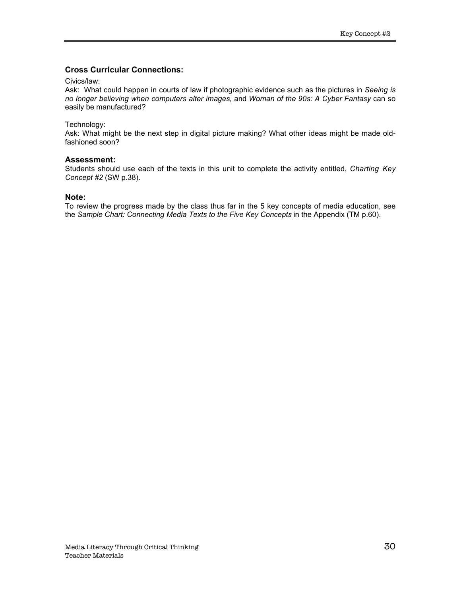### **Cross Curricular Connections:**

#### Civics/law:

Ask: What could happen in courts of law if photographic evidence such as the pictures in *Seeing is no longer believing when computers alter images,* and *Woman of the 90s: A Cyber Fantasy* can so easily be manufactured?

### Technology:

Ask: What might be the next step in digital picture making? What other ideas might be made oldfashioned soon?

### **Assessment:**

Students should use each of the texts in this unit to complete the activity entitled, *Charting Key Concept #2* (SW p.38).

### **Note:**

To review the progress made by the class thus far in the 5 key concepts of media education, see the *Sample Chart: Connecting Media Texts to the Five Key Concepts* in the Appendix (TM p.60).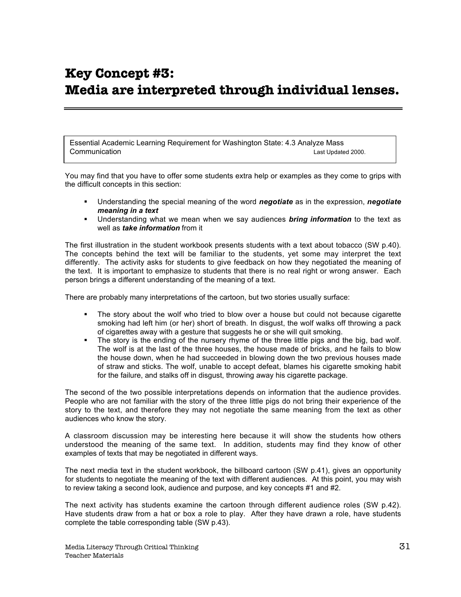# **Key Concept #3: Media are interpreted through individual lenses.**

Essential Academic Learning Requirement for Washington State: 4.3 Analyze Mass **Communication** Last Updated 2000.

You may find that you have to offer some students extra help or examples as they come to grips with the difficult concepts in this section:

- ß Understanding the special meaning of the word *negotiate* as in the expression, *negotiate meaning in a text*
- ß Understanding what we mean when we say audiences *bring information* to the text as well as *take information* from it

The first illustration in the student workbook presents students with a text about tobacco (SW p.40). The concepts behind the text will be familiar to the students, yet some may interpret the text differently. The activity asks for students to give feedback on how they negotiated the meaning of the text. It is important to emphasize to students that there is no real right or wrong answer. Each person brings a different understanding of the meaning of a text.

There are probably many interpretations of the cartoon, but two stories usually surface:

- The story about the wolf who tried to blow over a house but could not because cigarette smoking had left him (or her) short of breath. In disgust, the wolf walks off throwing a pack of cigarettes away with a gesture that suggests he or she will quit smoking.
- The story is the ending of the nursery rhyme of the three little pigs and the big, bad wolf. The wolf is at the last of the three houses, the house made of bricks, and he fails to blow the house down, when he had succeeded in blowing down the two previous houses made of straw and sticks. The wolf, unable to accept defeat, blames his cigarette smoking habit for the failure, and stalks off in disgust, throwing away his cigarette package.

The second of the two possible interpretations depends on information that the audience provides. People who are not familiar with the story of the three little pigs do not bring their experience of the story to the text, and therefore they may not negotiate the same meaning from the text as other audiences who know the story.

A classroom discussion may be interesting here because it will show the students how others understood the meaning of the same text. In addition, students may find they know of other examples of texts that may be negotiated in different ways.

The next media text in the student workbook, the billboard cartoon (SW p.41), gives an opportunity for students to negotiate the meaning of the text with different audiences. At this point, you may wish to review taking a second look, audience and purpose, and key concepts #1 and #2.

The next activity has students examine the cartoon through different audience roles (SW p.42). Have students draw from a hat or box a role to play. After they have drawn a role, have students complete the table corresponding table (SW p.43).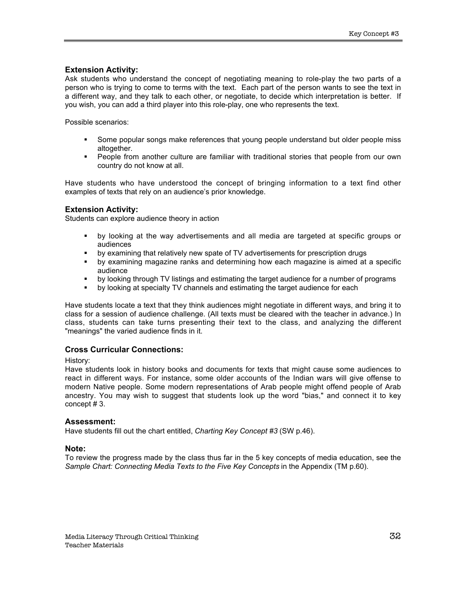### **Extension Activity:**

Ask students who understand the concept of negotiating meaning to role-play the two parts of a person who is trying to come to terms with the text. Each part of the person wants to see the text in a different way, and they talk to each other, or negotiate, to decide which interpretation is better. If you wish, you can add a third player into this role-play, one who represents the text.

Possible scenarios:

- ß Some popular songs make references that young people understand but older people miss altogether.
- ß People from another culture are familiar with traditional stories that people from our own country do not know at all.

Have students who have understood the concept of bringing information to a text find other examples of texts that rely on an audience's prior knowledge.

### **Extension Activity:**

Students can explore audience theory in action

- ß by looking at the way advertisements and all media are targeted at specific groups or audiences
- by examining that relatively new spate of TV advertisements for prescription drugs
- by examining magazine ranks and determining how each magazine is aimed at a specific audience
- ß by looking through TV listings and estimating the target audience for a number of programs
- **•** by looking at specialty TV channels and estimating the target audience for each

Have students locate a text that they think audiences might negotiate in different ways, and bring it to class for a session of audience challenge. (All texts must be cleared with the teacher in advance.) In class, students can take turns presenting their text to the class, and analyzing the different "meanings" the varied audience finds in it.

### **Cross Curricular Connections:**

History:

Have students look in history books and documents for texts that might cause some audiences to react in different ways. For instance, some older accounts of the Indian wars will give offense to modern Native people. Some modern representations of Arab people might offend people of Arab ancestry. You may wish to suggest that students look up the word "bias," and connect it to key concept # 3.

### **Assessment:**

Have students fill out the chart entitled, *Charting Key Concept #3* (SW p.46).

### **Note:**

To review the progress made by the class thus far in the 5 key concepts of media education, see the *Sample Chart: Connecting Media Texts to the Five Key Concepts* in the Appendix (TM p.60).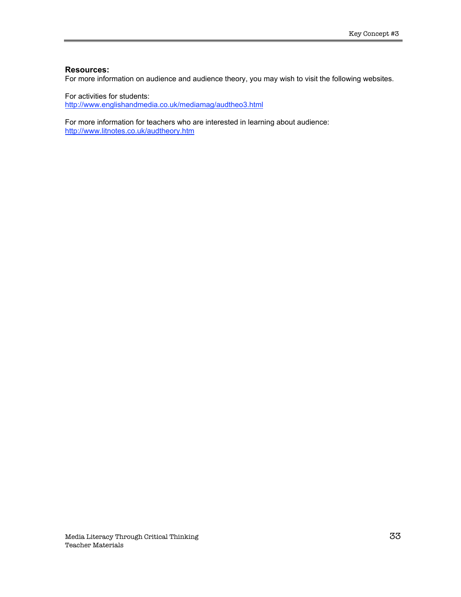#### **Resources:**

For more information on audience and audience theory, you may wish to visit the following websites.

For activities for students: http://www.englishandmedia.co.uk/mediamag/audtheo3.html

For more information for teachers who are interested in learning about audience: http://www.litnotes.co.uk/audtheory.htm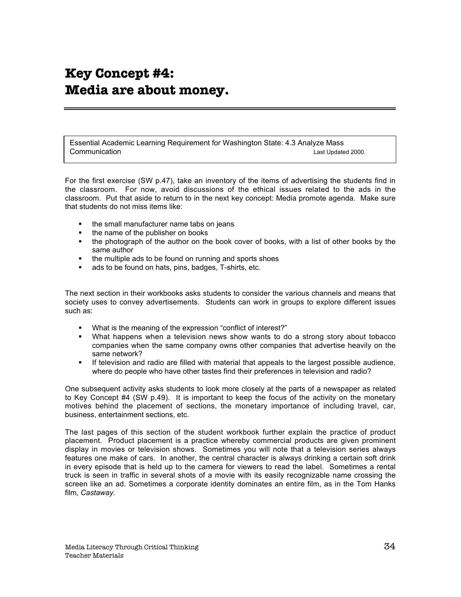# **Key Concept #4: Media are about money.**

Essential Academic Learning Requirement for Washington State: 4.3 Analyze Mass **Communication** Last Updated 2000.

For the first exercise (SW p.47), take an inventory of the items of advertising the students find in the classroom. For now, avoid discussions of the ethical issues related to the ads in the classroom. Put that aside to return to in the next key concept: Media promote agenda. Make sure that students do not miss items like:

- ß the small manufacturer name tabs on jeans
- the name of the publisher on books
- the photograph of the author on the book cover of books, with a list of other books by the same author
- ß the multiple ads to be found on running and sports shoes
- ß ads to be found on hats, pins, badges, T-shirts, etc.

The next section in their workbooks asks students to consider the various channels and means that society uses to convey advertisements. Students can work in groups to explore different issues such as:

- **What is the meaning of the expression "conflict of interest?"**
- What happens when a television news show wants to do a strong story about tobacco companies when the same company owns other companies that advertise heavily on the same network?
- ß If television and radio are filled with material that appeals to the largest possible audience, where do people who have other tastes find their preferences in television and radio?

One subsequent activity asks students to look more closely at the parts of a newspaper as related to Key Concept #4 (SW p.49). It is important to keep the focus of the activity on the monetary motives behind the placement of sections, the monetary importance of including travel, car, business, entertainment sections, etc.

The last pages of this section of the student workbook further explain the practice of product placement. Product placement is a practice whereby commercial products are given prominent display in movies or television shows. Sometimes you will note that a television series always features one make of cars. In another, the central character is always drinking a certain soft drink in every episode that is held up to the camera for viewers to read the label. Sometimes a rental truck is seen in traffic in several shots of a movie with its easily recognizable name crossing the screen like an ad. Sometimes a corporate identity dominates an entire film, as in the Tom Hanks film*, Castaway*.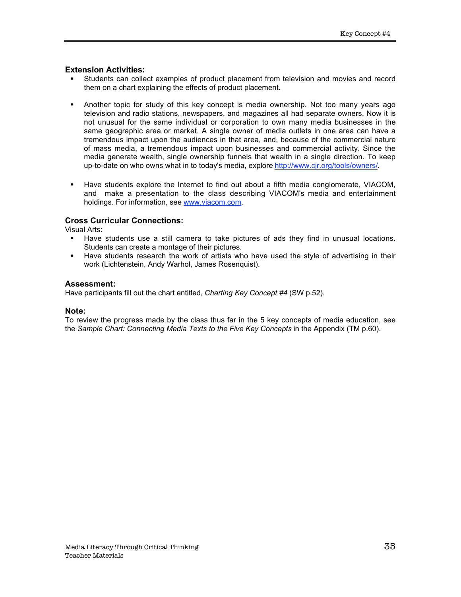### **Extension Activities:**

- ß Students can collect examples of product placement from television and movies and record them on a chart explaining the effects of product placement.
- Another topic for study of this key concept is media ownership. Not too many years ago television and radio stations, newspapers, and magazines all had separate owners. Now it is not unusual for the same individual or corporation to own many media businesses in the same geographic area or market. A single owner of media outlets in one area can have a tremendous impact upon the audiences in that area, and, because of the commercial nature of mass media, a tremendous impact upon businesses and commercial activity. Since the media generate wealth, single ownership funnels that wealth in a single direction. To keep up-to-date on who owns what in to today's media, explore http://www.cjr.org/tools/owners/.
- **Have students explore the Internet to find out about a fifth media conglomerate, VIACOM,** and make a presentation to the class describing VIACOM's media and entertainment holdings. For information, see www.viacom.com.

### **Cross Curricular Connections:**

Visual Arts:

- ß Have students use a still camera to take pictures of ads they find in unusual locations. Students can create a montage of their pictures.
- **Have students research the work of artists who have used the style of advertising in their** work (Lichtenstein, Andy Warhol, James Rosenquist).

### **Assessment:**

Have participants fill out the chart entitled, *Charting Key Concept #4* (SW p.52).

### **Note:**

To review the progress made by the class thus far in the 5 key concepts of media education, see the *Sample Chart: Connecting Media Texts to the Five Key Concepts* in the Appendix (TM p.60).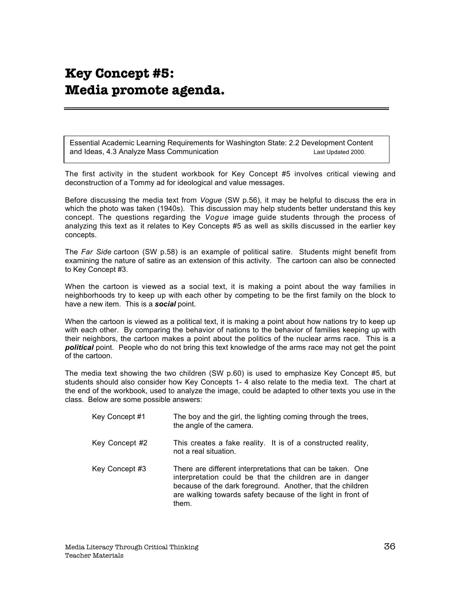# **Key Concept #5: Media promote agenda.**

Essential Academic Learning Requirements for Washington State: 2.2 Development Content and Ideas, 4.3 Analyze Mass Communication **Last Updated 2000**.

The first activity in the student workbook for Key Concept #5 involves critical viewing and deconstruction of a Tommy ad for ideological and value messages.

Before discussing the media text from *Vogue* (SW p.56), it may be helpful to discuss the era in which the photo was taken (1940s). This discussion may help students better understand this key concept. The questions regarding the *Vogue* image guide students through the process of analyzing this text as it relates to Key Concepts #5 as well as skills discussed in the earlier key concepts.

The *Far Side* cartoon (SW p.58) is an example of political satire. Students might benefit from examining the nature of satire as an extension of this activity. The cartoon can also be connected to Key Concept #3.

When the cartoon is viewed as a social text, it is making a point about the way families in neighborhoods try to keep up with each other by competing to be the first family on the block to have a new item. This is a *social* point.

When the cartoon is viewed as a political text, it is making a point about how nations try to keep up with each other. By comparing the behavior of nations to the behavior of families keeping up with their neighbors, the cartoon makes a point about the politics of the nuclear arms race. This is a *political* point. People who do not bring this text knowledge of the arms race may not get the point of the cartoon.

The media text showing the two children (SW p.60) is used to emphasize Key Concept #5, but students should also consider how Key Concepts 1- 4 also relate to the media text. The chart at the end of the workbook, used to analyze the image, could be adapted to other texts you use in the class. Below are some possible answers:

| Key Concept #1 | The boy and the girl, the lighting coming through the trees,<br>the angle of the camera.                                                                                                                                                                    |
|----------------|-------------------------------------------------------------------------------------------------------------------------------------------------------------------------------------------------------------------------------------------------------------|
| Key Concept #2 | This creates a fake reality. It is of a constructed reality,<br>not a real situation.                                                                                                                                                                       |
| Key Concept #3 | There are different interpretations that can be taken. One<br>interpretation could be that the children are in danger<br>because of the dark foreground. Another, that the children<br>are walking towards safety because of the light in front of<br>them. |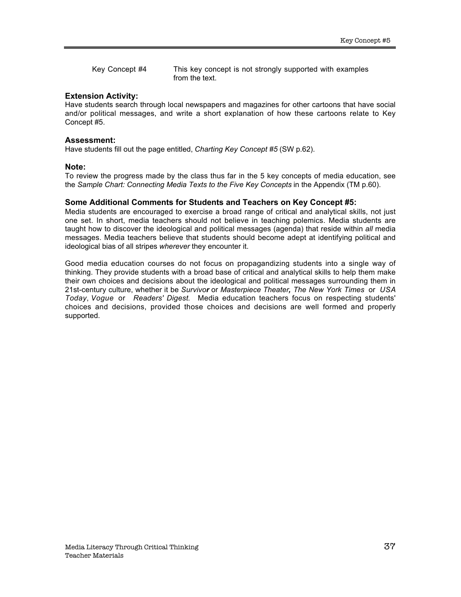Key Concept #4 This key concept is not strongly supported with examples from the text.

### **Extension Activity:**

Have students search through local newspapers and magazines for other cartoons that have social and/or political messages, and write a short explanation of how these cartoons relate to Key Concept #5.

#### **Assessment:**

Have students fill out the page entitled, *Charting Key Concept #5* (SW p.62).

#### **Note:**

To review the progress made by the class thus far in the 5 key concepts of media education, see the *Sample Chart: Connecting Media Texts to the Five Key Concepts* in the Appendix (TM p.60).

### **Some Additional Comments for Students and Teachers on Key Concept #5:**

Media students are encouraged to exercise a broad range of critical and analytical skills, not just one set. In short, media teachers should not believe in teaching polemics. Media students are taught how to discover the ideological and political messages (agenda) that reside within *all* media messages. Media teachers believe that students should become adept at identifying political and ideological bias of all stripes *wherever* they encounter it.

Good media education courses do not focus on propagandizing students into a single way of thinking. They provide students with a broad base of critical and analytical skills to help them make their own choices and decisions about the ideological and political messages surrounding them in 21st-century culture, whether it be *Survivor* or *Masterpiece Theater, The New York Times* or *USA Today*, *Vogue* or *Readers' Digest*. Media education teachers focus on respecting students' choices and decisions, provided those choices and decisions are well formed and properly supported.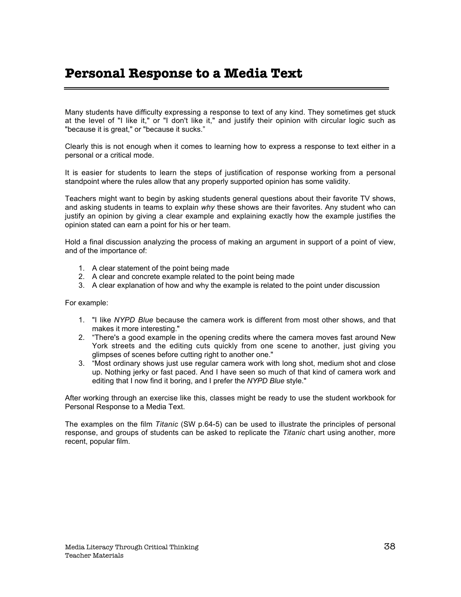# **Personal Response to a Media Text**

Many students have difficulty expressing a response to text of any kind. They sometimes get stuck at the level of "I like it," or "I don't like it," and justify their opinion with circular logic such as "because it is great," or "because it sucks."

Clearly this is not enough when it comes to learning how to express a response to text either in a personal or a critical mode.

It is easier for students to learn the steps of justification of response working from a personal standpoint where the rules allow that any properly supported opinion has some validity.

Teachers might want to begin by asking students general questions about their favorite TV shows, and asking students in teams to explain *why* these shows are their favorites. Any student who can justify an opinion by giving a clear example and explaining exactly how the example justifies the opinion stated can earn a point for his or her team.

Hold a final discussion analyzing the process of making an argument in support of a point of view, and of the importance of:

- 1. A clear statement of the point being made
- 2. A clear and concrete example related to the point being made
- 3. A clear explanation of how and why the example is related to the point under discussion

For example:

- 1. "I like *NYPD Blue* because the camera work is different from most other shows, and that makes it more interesting."
- 2. "There's a good example in the opening credits where the camera moves fast around New York streets and the editing cuts quickly from one scene to another, just giving you glimpses of scenes before cutting right to another one."
- 3. "Most ordinary shows just use regular camera work with long shot, medium shot and close up. Nothing jerky or fast paced. And I have seen so much of that kind of camera work and editing that I now find it boring, and I prefer the *NYPD Blue* style."

After working through an exercise like this, classes might be ready to use the student workbook for Personal Response to a Media Text.

The examples on the film *Titanic* (SW p.64-5) can be used to illustrate the principles of personal response, and groups of students can be asked to replicate the *Titanic* chart using another, more recent, popular film.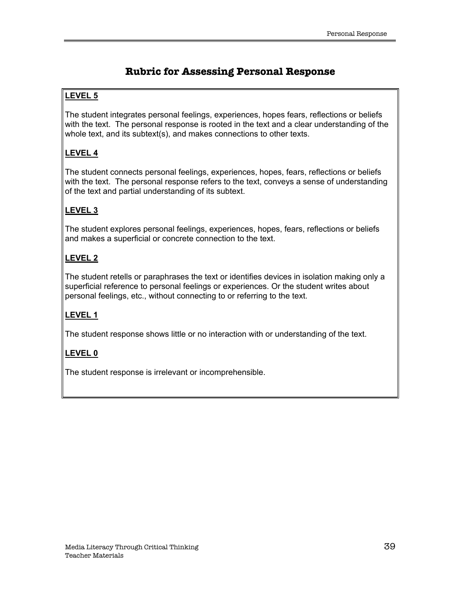# **Rubric for Assessing Personal Response**

### **LEVEL 5**

The student integrates personal feelings, experiences, hopes fears, reflections or beliefs with the text. The personal response is rooted in the text and a clear understanding of the whole text, and its subtext(s), and makes connections to other texts.

### **LEVEL 4**

The student connects personal feelings, experiences, hopes, fears, reflections or beliefs with the text. The personal response refers to the text, conveys a sense of understanding of the text and partial understanding of its subtext.

### **LEVEL 3**

The student explores personal feelings, experiences, hopes, fears, reflections or beliefs and makes a superficial or concrete connection to the text.

### **LEVEL 2**

The student retells or paraphrases the text or identifies devices in isolation making only a superficial reference to personal feelings or experiences. Or the student writes about personal feelings, etc., without connecting to or referring to the text.

### **LEVEL 1**

The student response shows little or no interaction with or understanding of the text.

### **LEVEL 0**

The student response is irrelevant or incomprehensible.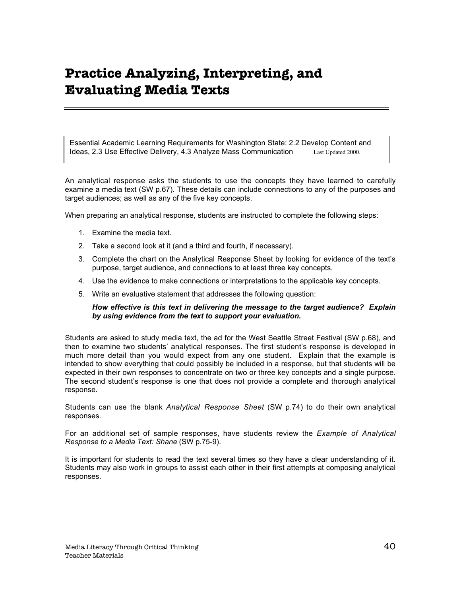# **Practice Analyzing, Interpreting, and Evaluating Media Texts**

Essential Academic Learning Requirements for Washington State: 2.2 Develop Content and Ideas, 2.3 Use Effective Delivery, 4.3 Analyze Mass Communication Last Updated 2000.

An analytical response asks the students to use the concepts they have learned to carefully examine a media text (SW p.67). These details can include connections to any of the purposes and target audiences; as well as any of the five key concepts.

When preparing an analytical response, students are instructed to complete the following steps:

- 1. Examine the media text.
- 2. Take a second look at it (and a third and fourth, if necessary).
- 3. Complete the chart on the Analytical Response Sheet by looking for evidence of the text's purpose, target audience, and connections to at least three key concepts.
- 4. Use the evidence to make connections or interpretations to the applicable key concepts.
- 5. Write an evaluative statement that addresses the following question:

### *How effective is this text in delivering the message to the target audience? Explain by using evidence from the text to support your evaluation.*

Students are asked to study media text, the ad for the West Seattle Street Festival (SW p.68), and then to examine two students' analytical responses. The first student's response is developed in much more detail than you would expect from any one student. Explain that the example is intended to show everything that could possibly be included in a response, but that students will be expected in their own responses to concentrate on two or three key concepts and a single purpose. The second student's response is one that does not provide a complete and thorough analytical response.

Students can use the blank *Analytical Response Sheet* (SW p.74) to do their own analytical responses.

For an additional set of sample responses, have students review the *Example of Analytical Response to a Media Text: Shane* (SW p.75-9).

It is important for students to read the text several times so they have a clear understanding of it. Students may also work in groups to assist each other in their first attempts at composing analytical responses.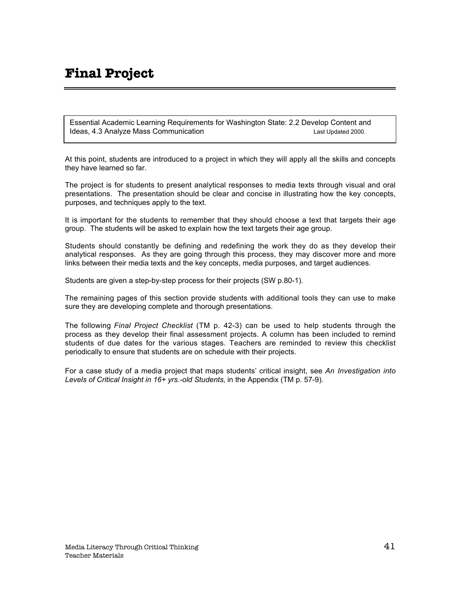# **Final Project**

Essential Academic Learning Requirements for Washington State: 2.2 Develop Content and Ideas, 4.3 Analyze Mass Communication Last Updated 2000.

At this point, students are introduced to a project in which they will apply all the skills and concepts they have learned so far.

The project is for students to present analytical responses to media texts through visual and oral presentations. The presentation should be clear and concise in illustrating how the key concepts, purposes, and techniques apply to the text.

It is important for the students to remember that they should choose a text that targets their age group. The students will be asked to explain how the text targets their age group.

Students should constantly be defining and redefining the work they do as they develop their analytical responses. As they are going through this process, they may discover more and more links between their media texts and the key concepts, media purposes, and target audiences.

Students are given a step-by-step process for their projects (SW p.80-1).

The remaining pages of this section provide students with additional tools they can use to make sure they are developing complete and thorough presentations.

The following *Final Project Checklist* (TM p. 42-3) can be used to help students through the process as they develop their final assessment projects. A column has been included to remind students of due dates for the various stages. Teachers are reminded to review this checklist periodically to ensure that students are on schedule with their projects.

For a case study of a media project that maps students' critical insight, see *An Investigation into Levels of Critical Insight in 16+ yrs.-old Students*, in the Appendix (TM p. 57-9).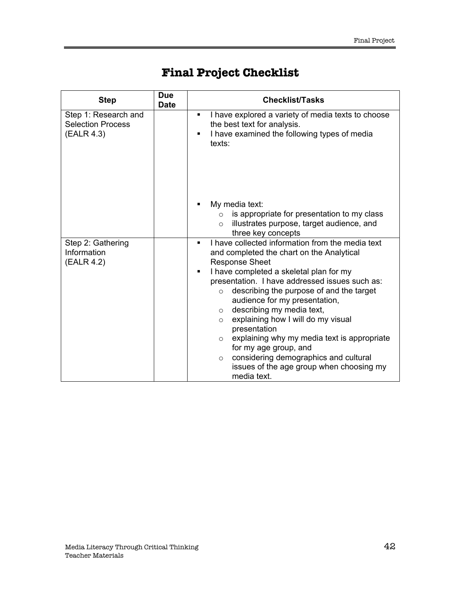| <b>Step</b>                                                    | Due<br><b>Date</b> | <b>Checklist/Tasks</b>                                                                                                                                                                                                                                                                                                                                                                                                                                                                                                                                                                                                           |
|----------------------------------------------------------------|--------------------|----------------------------------------------------------------------------------------------------------------------------------------------------------------------------------------------------------------------------------------------------------------------------------------------------------------------------------------------------------------------------------------------------------------------------------------------------------------------------------------------------------------------------------------------------------------------------------------------------------------------------------|
| Step 1: Research and<br><b>Selection Process</b><br>(EALR 4.3) |                    | I have explored a variety of media texts to choose<br>$\blacksquare$<br>the best text for analysis.<br>I have examined the following types of media<br>texts:                                                                                                                                                                                                                                                                                                                                                                                                                                                                    |
|                                                                |                    | My media text:<br>is appropriate for presentation to my class<br>$\circ$<br>illustrates purpose, target audience, and<br>$\circ$<br>three key concepts                                                                                                                                                                                                                                                                                                                                                                                                                                                                           |
| Step 2: Gathering<br>Information<br>(EALR 4.2)                 |                    | I have collected information from the media text<br>٠<br>and completed the chart on the Analytical<br><b>Response Sheet</b><br>I have completed a skeletal plan for my<br>٠<br>presentation. I have addressed issues such as:<br>describing the purpose of and the target<br>$\circ$<br>audience for my presentation,<br>describing my media text,<br>$\circ$<br>explaining how I will do my visual<br>$\circ$<br>presentation<br>explaining why my media text is appropriate<br>$\circ$<br>for my age group, and<br>considering demographics and cultural<br>$\circ$<br>issues of the age group when choosing my<br>media text. |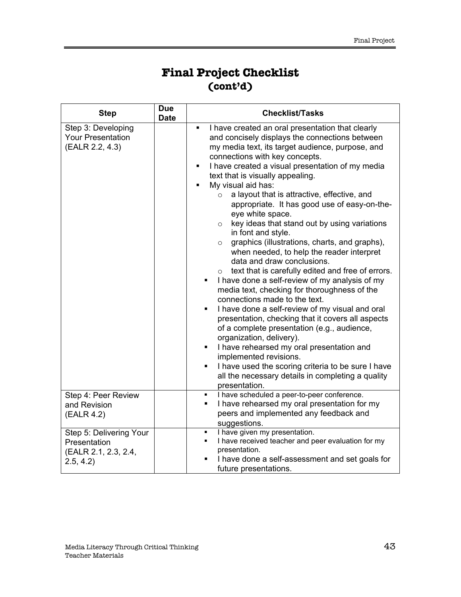# **Final Project Checklist (cont'd)**

| <b>Step</b>                                                       | <b>Due</b><br><b>Date</b> | <b>Checklist/Tasks</b>                                                                                                                                                                                                                                                                                                                                                                                                                                                                                                                                                                                                                                                                                                                                                                                                                                                                                                                                                                                                                                                                                                                                                                                                                                                                |
|-------------------------------------------------------------------|---------------------------|---------------------------------------------------------------------------------------------------------------------------------------------------------------------------------------------------------------------------------------------------------------------------------------------------------------------------------------------------------------------------------------------------------------------------------------------------------------------------------------------------------------------------------------------------------------------------------------------------------------------------------------------------------------------------------------------------------------------------------------------------------------------------------------------------------------------------------------------------------------------------------------------------------------------------------------------------------------------------------------------------------------------------------------------------------------------------------------------------------------------------------------------------------------------------------------------------------------------------------------------------------------------------------------|
| Step 3: Developing<br><b>Your Presentation</b><br>(EALR 2.2, 4.3) |                           | I have created an oral presentation that clearly<br>٠<br>and concisely displays the connections between<br>my media text, its target audience, purpose, and<br>connections with key concepts.<br>I have created a visual presentation of my media<br>٠<br>text that is visually appealing.<br>My visual aid has:<br>٠<br>a layout that is attractive, effective, and<br>$\circ$<br>appropriate. It has good use of easy-on-the-<br>eye white space.<br>key ideas that stand out by using variations<br>$\circ$<br>in font and style.<br>graphics (illustrations, charts, and graphs),<br>$\circ$<br>when needed, to help the reader interpret<br>data and draw conclusions.<br>$\circ$ text that is carefully edited and free of errors.<br>I have done a self-review of my analysis of my<br>٠<br>media text, checking for thoroughness of the<br>connections made to the text.<br>I have done a self-review of my visual and oral<br>٠<br>presentation, checking that it covers all aspects<br>of a complete presentation (e.g., audience,<br>organization, delivery).<br>I have rehearsed my oral presentation and<br>٠<br>implemented revisions.<br>I have used the scoring criteria to be sure I have<br>٠<br>all the necessary details in completing a quality<br>presentation. |
| Step 4: Peer Review                                               |                           | I have scheduled a peer-to-peer conference.<br>٠                                                                                                                                                                                                                                                                                                                                                                                                                                                                                                                                                                                                                                                                                                                                                                                                                                                                                                                                                                                                                                                                                                                                                                                                                                      |
| and Revision                                                      |                           | I have rehearsed my oral presentation for my<br>٠                                                                                                                                                                                                                                                                                                                                                                                                                                                                                                                                                                                                                                                                                                                                                                                                                                                                                                                                                                                                                                                                                                                                                                                                                                     |
| (EALR 4.2)                                                        |                           | peers and implemented any feedback and<br>suggestions.                                                                                                                                                                                                                                                                                                                                                                                                                                                                                                                                                                                                                                                                                                                                                                                                                                                                                                                                                                                                                                                                                                                                                                                                                                |
| Step 5: Delivering Your                                           |                           | I have given my presentation.<br>٠                                                                                                                                                                                                                                                                                                                                                                                                                                                                                                                                                                                                                                                                                                                                                                                                                                                                                                                                                                                                                                                                                                                                                                                                                                                    |
| Presentation                                                      |                           | I have received teacher and peer evaluation for my<br>presentation.                                                                                                                                                                                                                                                                                                                                                                                                                                                                                                                                                                                                                                                                                                                                                                                                                                                                                                                                                                                                                                                                                                                                                                                                                   |
| (EALR 2.1, 2.3, 2.4,<br>2.5, 4.2)                                 |                           | I have done a self-assessment and set goals for                                                                                                                                                                                                                                                                                                                                                                                                                                                                                                                                                                                                                                                                                                                                                                                                                                                                                                                                                                                                                                                                                                                                                                                                                                       |
|                                                                   |                           | future presentations.                                                                                                                                                                                                                                                                                                                                                                                                                                                                                                                                                                                                                                                                                                                                                                                                                                                                                                                                                                                                                                                                                                                                                                                                                                                                 |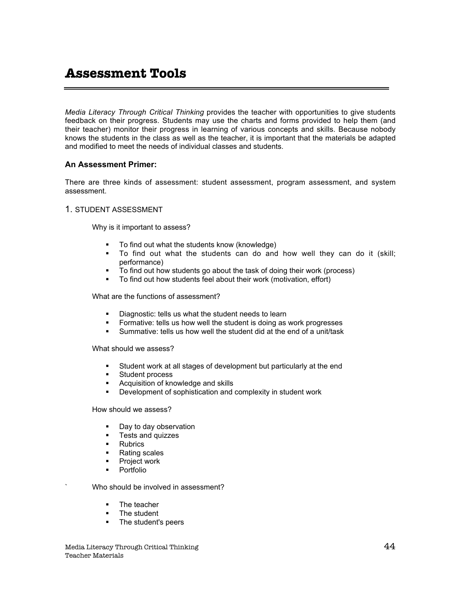*Media Literacy Through Critical Thinking* provides the teacher with opportunities to give students feedback on their progress. Students may use the charts and forms provided to help them (and their teacher) monitor their progress in learning of various concepts and skills. Because nobody knows the students in the class as well as the teacher, it is important that the materials be adapted and modified to meet the needs of individual classes and students.

### **An Assessment Primer:**

There are three kinds of assessment: student assessment, program assessment, and system assessment.

### 1. STUDENT ASSESSMENT

Why is it important to assess?

- **To find out what the students know (knowledge)**
- ß To find out what the students can do and how well they can do it (skill; performance)
- **FREGOLUT FORM THE TO find out how students go about the task of doing their work (process)**
- To find out how students feel about their work (motivation, effort)

What are the functions of assessment?

- **Diagnostic: tells us what the student needs to learn**
- **Formative: tells us how well the student is doing as work progresses**
- ß Summative: tells us how well the student did at the end of a unit/task

What should we assess?

- **Student work at all stages of development but particularly at the end**
- **Student process**
- **EXEC** Acquisition of knowledge and skills
- **•** Development of sophistication and complexity in student work

How should we assess?

- Day to day observation
- **Figure 1** Tests and quizzes
- **Rubrics**
- Rating scales
- **•** Project work
- **Portfolio**

Who should be involved in assessment?

- The teacher
- The student
- The student's peers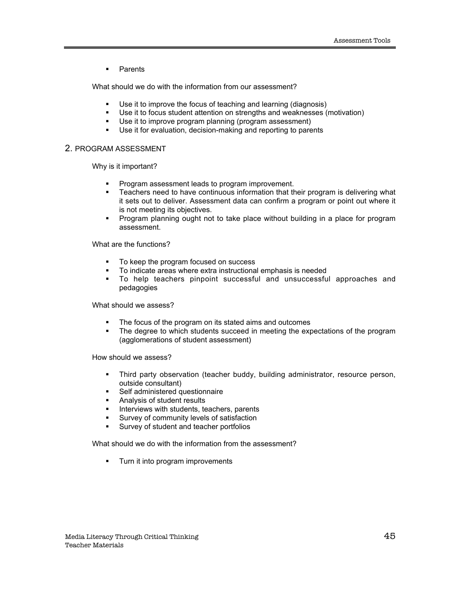**•** Parents

What should we do with the information from our assessment?

- Use it to improve the focus of teaching and learning (diagnosis)
- **Use it to focus student attention on strengths and weaknesses (motivation)**
- **Use it to improve program planning (program assessment)**
- **Use it for evaluation, decision-making and reporting to parents**

### 2. PROGRAM ASSESSMENT

Why is it important?

- **Program assessment leads to program improvement.**
- **EXECTER 1** Teachers need to have continuous information that their program is delivering what it sets out to deliver. Assessment data can confirm a program or point out where it is not meeting its objectives.
- Program planning ought not to take place without building in a place for program assessment.

What are the functions?

- To keep the program focused on success<br>■ To indicate areas where extra instructional
- ß To indicate areas where extra instructional emphasis is needed
- ß To help teachers pinpoint successful and unsuccessful approaches and pedagogies

What should we assess?

- The focus of the program on its stated aims and outcomes
- The degree to which students succeed in meeting the expectations of the program (agglomerations of student assessment)

How should we assess?

- Third party observation (teacher buddy, building administrator, resource person, outside consultant)
- **Self administered questionnaire**
- **Analysis of student results**
- **Interviews with students, teachers, parents**
- ß Survey of community levels of satisfaction
- **Survey of student and teacher portfolios**

What should we do with the information from the assessment?

**Turn it into program improvements**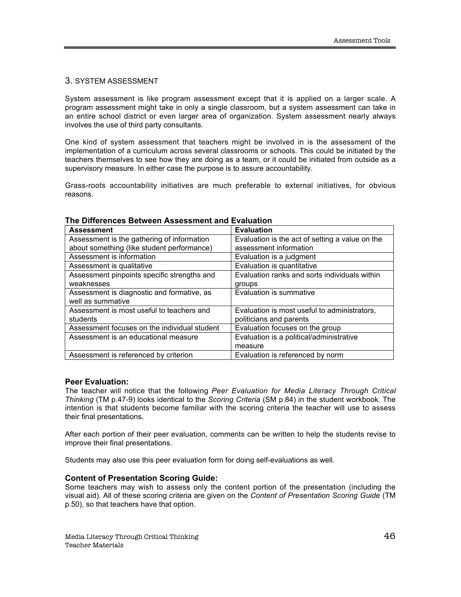### 3. SYSTEM ASSESSMENT

System assessment is like program assessment except that it is applied on a larger scale. A program assessment might take in only a single classroom, but a system assessment can take in an entire school district or even larger area of organization. System assessment nearly always involves the use of third party consultants.

One kind of system assessment that teachers might be involved in is the assessment of the implementation of a curriculum across several classrooms or schools. This could be initiated by the teachers themselves to see how they are doing as a team, or it could be initiated from outside as a supervisory measure. In either case the purpose is to assure accountability.

Grass-roots accountability initiatives are much preferable to external initiatives, for obvious reasons.

| <b>Assessment</b>                            | <b>Evaluation</b>                               |
|----------------------------------------------|-------------------------------------------------|
| Assessment is the gathering of information   | Evaluation is the act of setting a value on the |
| about something (like student performance)   | assessment information                          |
| Assessment is information                    | Evaluation is a judgment                        |
| Assessment is qualitative                    | Evaluation is quantitative                      |
| Assessment pinpoints specific strengths and  | Evaluation ranks and sorts individuals within   |
| weaknesses                                   | groups                                          |
| Assessment is diagnostic and formative, as   | Evaluation is summative                         |
| well as summative                            |                                                 |
| Assessment is most useful to teachers and    | Evaluation is most useful to administrators,    |
| students                                     | politicians and parents                         |
| Assessment focuses on the individual student | Evaluation focuses on the group                 |
| Assessment is an educational measure         | Evaluation is a political/administrative        |
|                                              | measure                                         |
| Assessment is referenced by criterion        | Evaluation is referenced by norm                |

### **The Differences Between Assessment and Evaluation**

### **Peer Evaluation:**

The teacher will notice that the following *Peer Evaluation for Media Literacy Through Critical Thinking* (TM p.47-9) looks identical to the *Scoring Criteria* (SM p.84) in the student workbook. The intention is that students become familiar with the scoring criteria the teacher will use to assess their final presentations.

After each portion of their peer evaluation, comments can be written to help the students revise to improve their final presentations.

Students may also use this peer evaluation form for doing self-evaluations as well.

### **Content of Presentation Scoring Guide:**

Some teachers may wish to assess only the content portion of the presentation (including the visual aid). All of these scoring criteria are given on the *Content of Presentation Scoring Guide* (TM p.50), so that teachers have that option.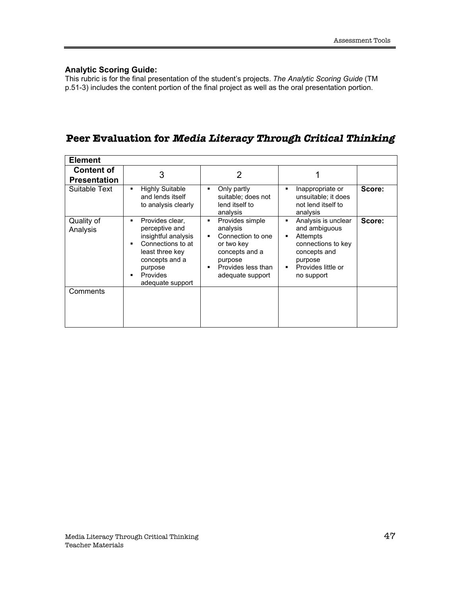### **Analytic Scoring Guide:**

This rubric is for the final presentation of the student's projects. *The Analytic Scoring Guide* (TM p.51-3) includes the content portion of the final project as well as the oral presentation portion.

## **Peer Evaluation for Media Literacy Through Critical Thinking**

| <b>Element</b>                           |                                                                                                                                                                           |                                                                                                                                                                                |                                                                                                                                       |        |
|------------------------------------------|---------------------------------------------------------------------------------------------------------------------------------------------------------------------------|--------------------------------------------------------------------------------------------------------------------------------------------------------------------------------|---------------------------------------------------------------------------------------------------------------------------------------|--------|
| <b>Content of</b><br><b>Presentation</b> | 3                                                                                                                                                                         | 2                                                                                                                                                                              |                                                                                                                                       |        |
| Suitable Text                            | <b>Highly Suitable</b><br>٠<br>and lends itself<br>to analysis clearly                                                                                                    | Only partly<br>٠<br>suitable; does not<br>lend itself to<br>analysis                                                                                                           | Inappropriate or<br>unsuitable; it does<br>not lend itself to<br>analysis                                                             | Score: |
| Quality of<br>Analysis                   | Provides clear,<br>٠<br>perceptive and<br>insightful analysis<br>Connections to at<br>least three key<br>concepts and a<br>purpose<br><b>Provides</b><br>adequate support | Provides simple<br>٠<br>analysis<br>Connection to one<br>$\blacksquare$<br>or two key<br>concepts and a<br>purpose<br>Provides less than<br>$\blacksquare$<br>adequate support | Analysis is unclear<br>and ambiguous<br>Attempts<br>connections to key<br>concepts and<br>purpose<br>Provides little or<br>no support | Score: |
| Comments                                 |                                                                                                                                                                           |                                                                                                                                                                                |                                                                                                                                       |        |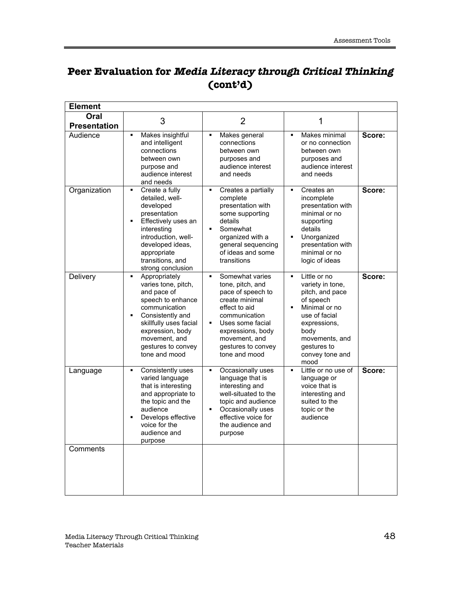|                             |                                                                                                                                                                                                                                                         | $\mathbf{U}$                                                                                                                                                                                                                                      |                                                                                                                                                                                                                            |        |
|-----------------------------|---------------------------------------------------------------------------------------------------------------------------------------------------------------------------------------------------------------------------------------------------------|---------------------------------------------------------------------------------------------------------------------------------------------------------------------------------------------------------------------------------------------------|----------------------------------------------------------------------------------------------------------------------------------------------------------------------------------------------------------------------------|--------|
| <b>Element</b>              |                                                                                                                                                                                                                                                         |                                                                                                                                                                                                                                                   |                                                                                                                                                                                                                            |        |
| Oral<br><b>Presentation</b> | 3                                                                                                                                                                                                                                                       | $\overline{2}$                                                                                                                                                                                                                                    | 1                                                                                                                                                                                                                          |        |
| Audience                    | Makes insightful<br>$\blacksquare$<br>and intelligent<br>connections<br>between own<br>purpose and<br>audience interest<br>and needs                                                                                                                    | Makes general<br>$\blacksquare$<br>connections<br>between own<br>purposes and<br>audience interest<br>and needs                                                                                                                                   | Makes minimal<br>$\blacksquare$<br>or no connection<br>between own<br>purposes and<br>audience interest<br>and needs                                                                                                       | Score: |
| Organization                | Create a fully<br>$\blacksquare$<br>detailed, well-<br>developed<br>presentation<br>Effectively uses an<br>$\blacksquare$<br>interesting<br>introduction, well-<br>developed ideas,<br>appropriate<br>transitions, and<br>strong conclusion             | Creates a partially<br>$\blacksquare$<br>complete<br>presentation with<br>some supporting<br>details<br>Somewhat<br>$\blacksquare$<br>organized with a<br>general sequencing<br>of ideas and some<br>transitions                                  | Creates an<br>$\blacksquare$<br>incomplete<br>presentation with<br>minimal or no<br>supporting<br>details<br>$\blacksquare$<br>Unorganized<br>presentation with<br>minimal or no<br>logic of ideas                         | Score: |
| Delivery                    | Appropriately<br>$\blacksquare$<br>varies tone, pitch,<br>and pace of<br>speech to enhance<br>communication<br>Consistently and<br>$\blacksquare$<br>skillfully uses facial<br>expression, body<br>movement, and<br>gestures to convey<br>tone and mood | Somewhat varies<br>$\blacksquare$<br>tone, pitch, and<br>pace of speech to<br>create minimal<br>effect to aid<br>communication<br>$\blacksquare$<br>Uses some facial<br>expressions, body<br>movement, and<br>gestures to convey<br>tone and mood | Little or no<br>$\blacksquare$<br>variety in tone,<br>pitch, and pace<br>of speech<br>Minimal or no<br>$\blacksquare$<br>use of facial<br>expressions,<br>body<br>movements, and<br>gestures to<br>convey tone and<br>mood | Score: |
| Language                    | Consistently uses<br>$\blacksquare$<br>varied language<br>that is interesting<br>and appropriate to<br>the topic and the<br>audience<br>Develops effective<br>$\blacksquare$<br>voice for the<br>audience and<br>purpose                                | Occasionally uses<br>$\blacksquare$<br>language that is<br>interesting and<br>well-situated to the<br>topic and audience<br>$\blacksquare$<br>Occasionally uses<br>effective voice for<br>the audience and<br>purpose                             | $\blacksquare$<br>Little or no use of<br>language or<br>voice that is<br>interesting and<br>suited to the<br>topic or the<br>audience                                                                                      | Score: |

# **Peer Evaluation for Media Literacy through Critical Thinking (cont'd)**

**Comments**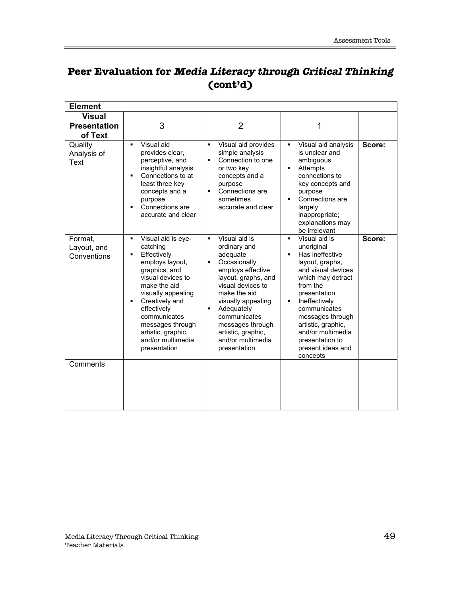# **Peer Evaluation for Media Literacy through Critical Thinking (cont'd)**

| <b>Element</b>                                  |                                                                                                                                                                                                                                                                                                                       |                                                                                                                                                                                                                                                                                                                                     |                                                                                                                                                                                                                                                                                                                                       |        |
|-------------------------------------------------|-----------------------------------------------------------------------------------------------------------------------------------------------------------------------------------------------------------------------------------------------------------------------------------------------------------------------|-------------------------------------------------------------------------------------------------------------------------------------------------------------------------------------------------------------------------------------------------------------------------------------------------------------------------------------|---------------------------------------------------------------------------------------------------------------------------------------------------------------------------------------------------------------------------------------------------------------------------------------------------------------------------------------|--------|
| <b>Visual</b><br><b>Presentation</b><br>of Text | 3                                                                                                                                                                                                                                                                                                                     | $\overline{2}$                                                                                                                                                                                                                                                                                                                      | 1                                                                                                                                                                                                                                                                                                                                     |        |
| Quality<br>Analysis of<br>Text                  | Visual aid<br>$\blacksquare$<br>provides clear,<br>perceptive, and<br>insightful analysis<br>Connections to at<br>$\blacksquare$<br>least three key<br>concepts and a<br>purpose<br>Connections are<br>accurate and clear                                                                                             | Visual aid provides<br>$\blacksquare$<br>simple analysis<br>Connection to one<br>$\blacksquare$<br>or two key<br>concepts and a<br>purpose<br>Connections are<br>$\blacksquare$<br>sometimes<br>accurate and clear                                                                                                                  | Visual aid analysis<br>٠<br>is unclear and<br>ambiguous<br>Attempts<br>$\blacksquare$<br>connections to<br>key concepts and<br>purpose<br>Connections are<br>largely<br>inappropriate;<br>explanations may<br>be irrelevant                                                                                                           | Score: |
| Format,<br>Layout, and<br>Conventions           | Visual aid is eye-<br>$\blacksquare$<br>catching<br>Effectively<br>٠<br>employs layout,<br>graphics, and<br>visual devices to<br>make the aid<br>visually appealing<br>Creatively and<br>$\blacksquare$<br>effectively<br>communicates<br>messages through<br>artistic, graphic,<br>and/or multimedia<br>presentation | Visual aid is<br>$\blacksquare$<br>ordinary and<br>adequate<br>Occasionally<br>$\blacksquare$<br>employs effective<br>layout, graphs, and<br>visual devices to<br>make the aid<br>visually appealing<br>Adequately<br>$\blacksquare$<br>communicates<br>messages through<br>artistic, graphic,<br>and/or multimedia<br>presentation | Visual aid is<br>$\blacksquare$<br>unoriginal<br>Has ineffective<br>$\blacksquare$<br>layout, graphs,<br>and visual devices<br>which may detract<br>from the<br>presentation<br>Ineffectively<br>٠<br>communicates<br>messages through<br>artistic, graphic,<br>and/or multimedia<br>presentation to<br>present ideas and<br>concepts | Score: |
| Comments                                        |                                                                                                                                                                                                                                                                                                                       |                                                                                                                                                                                                                                                                                                                                     |                                                                                                                                                                                                                                                                                                                                       |        |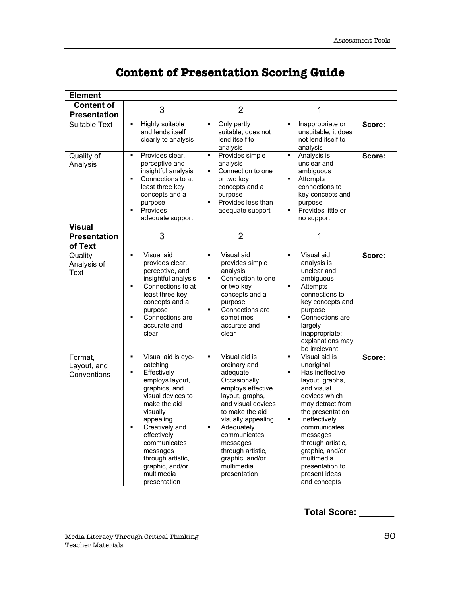| <b>Element</b>                                  |                                                                                                                                                                                                                                                                                                                                          |                                                                                                                                                                                                                                                                                                                      |                                                                                                                                                                                                                                                                                                                                                       |        |  |
|-------------------------------------------------|------------------------------------------------------------------------------------------------------------------------------------------------------------------------------------------------------------------------------------------------------------------------------------------------------------------------------------------|----------------------------------------------------------------------------------------------------------------------------------------------------------------------------------------------------------------------------------------------------------------------------------------------------------------------|-------------------------------------------------------------------------------------------------------------------------------------------------------------------------------------------------------------------------------------------------------------------------------------------------------------------------------------------------------|--------|--|
| <b>Content of</b>                               | 3                                                                                                                                                                                                                                                                                                                                        | $\overline{2}$                                                                                                                                                                                                                                                                                                       | 1                                                                                                                                                                                                                                                                                                                                                     |        |  |
| <b>Presentation</b>                             |                                                                                                                                                                                                                                                                                                                                          |                                                                                                                                                                                                                                                                                                                      |                                                                                                                                                                                                                                                                                                                                                       |        |  |
| Suitable Text                                   | <b>Highly suitable</b><br>$\blacksquare$<br>and lends itself<br>clearly to analysis                                                                                                                                                                                                                                                      | Only partly<br>$\blacksquare$<br>suitable; does not<br>lend itself to<br>analysis                                                                                                                                                                                                                                    | $\blacksquare$<br>Inappropriate or<br>unsuitable; it does<br>not lend itself to<br>analysis                                                                                                                                                                                                                                                           | Score: |  |
| Quality of<br>Analysis                          | Provides clear,<br>$\blacksquare$<br>perceptive and<br>insightful analysis<br>Connections to at<br>$\blacksquare$<br>least three key<br>concepts and a<br>purpose<br>Provides<br>П<br>adequate support                                                                                                                                   | Provides simple<br>$\blacksquare$<br>analysis<br>Connection to one<br>$\blacksquare$<br>or two key<br>concepts and a<br>purpose<br>Provides less than<br>$\blacksquare$<br>adequate support                                                                                                                          | $\blacksquare$<br>Analysis is<br>unclear and<br>ambiguous<br>Attempts<br>$\blacksquare$<br>connections to<br>key concepts and<br>purpose<br>Provides little or<br>$\blacksquare$<br>no support                                                                                                                                                        | Score: |  |
| <b>Visual</b><br><b>Presentation</b><br>of Text | 3                                                                                                                                                                                                                                                                                                                                        | $\overline{2}$                                                                                                                                                                                                                                                                                                       | 1                                                                                                                                                                                                                                                                                                                                                     |        |  |
| Quality<br>Analysis of<br>Text                  | Visual aid<br>$\blacksquare$<br>provides clear,<br>perceptive, and<br>insightful analysis<br>Connections to at<br>Ξ<br>least three key<br>concepts and a<br>purpose<br>Connections are<br>٠<br>accurate and<br>clear                                                                                                                     | Visual aid<br>$\blacksquare$<br>provides simple<br>analysis<br>Connection to one<br>٠<br>or two key<br>concepts and a<br>purpose<br>Connections are<br>$\blacksquare$<br>sometimes<br>accurate and<br>clear                                                                                                          | Visual aid<br>$\blacksquare$<br>analysis is<br>unclear and<br>ambiguous<br>Attempts<br>$\blacksquare$<br>connections to<br>key concepts and<br>purpose<br>Connections are<br>$\blacksquare$<br>largely<br>inappropriate;<br>explanations may<br>be irrelevant                                                                                         | Score: |  |
| Format.<br>Layout, and<br>Conventions           | Visual aid is eye-<br>$\blacksquare$<br>catching<br>Effectively<br>$\blacksquare$<br>employs layout,<br>graphics, and<br>visual devices to<br>make the aid<br>visually<br>appealing<br>Creatively and<br>$\blacksquare$<br>effectively<br>communicates<br>messages<br>through artistic,<br>graphic, and/or<br>multimedia<br>presentation | Visual aid is<br>$\blacksquare$<br>ordinary and<br>adequate<br>Occasionally<br>employs effective<br>layout, graphs,<br>and visual devices<br>to make the aid<br>visually appealing<br>$\blacksquare$<br>Adequately<br>communicates<br>messages<br>through artistic,<br>graphic, and/or<br>multimedia<br>presentation | $\blacksquare$<br>Visual aid is<br>unoriginal<br>Has ineffective<br>$\blacksquare$<br>layout, graphs,<br>and visual<br>devices which<br>may detract from<br>the presentation<br>Ineffectively<br>$\blacksquare$<br>communicates<br>messages<br>through artistic,<br>graphic, and/or<br>multimedia<br>presentation to<br>present ideas<br>and concepts | Score: |  |

# **Content of Presentation Scoring Guide**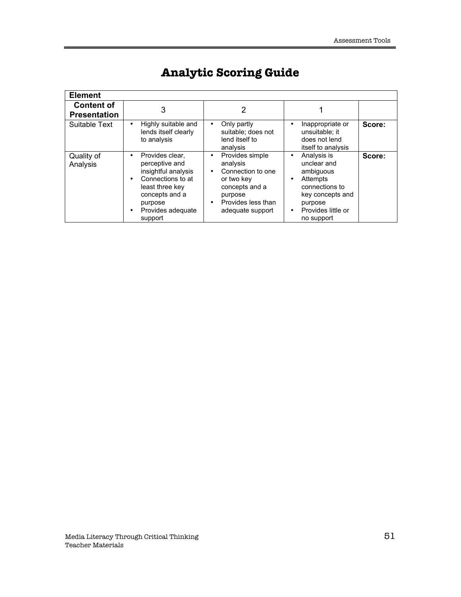| <b>Element</b>                           |                                                                                                                                                               |                                                                                                                                       |                                                                                                                                          |        |
|------------------------------------------|---------------------------------------------------------------------------------------------------------------------------------------------------------------|---------------------------------------------------------------------------------------------------------------------------------------|------------------------------------------------------------------------------------------------------------------------------------------|--------|
| <b>Content of</b><br><b>Presentation</b> | 3                                                                                                                                                             | 2                                                                                                                                     |                                                                                                                                          |        |
| Suitable Text                            | Highly suitable and<br>lends itself clearly<br>to analysis                                                                                                    | Only partly<br>suitable: does not<br>lend itself to<br>analysis                                                                       | Inappropriate or<br>unsuitable: it<br>does not lend<br>itself to analysis                                                                | Score: |
| Quality of<br>Analysis                   | Provides clear,<br>perceptive and<br>insightful analysis<br>Connections to at<br>least three key<br>concepts and a<br>purpose<br>Provides adequate<br>support | Provides simple<br>analysis<br>Connection to one<br>or two key<br>concepts and a<br>purpose<br>Provides less than<br>adequate support | Analysis is<br>unclear and<br>ambiguous<br>Attempts<br>connections to<br>key concepts and<br>purpose<br>Provides little or<br>no support | Score: |

# **Analytic Scoring Guide**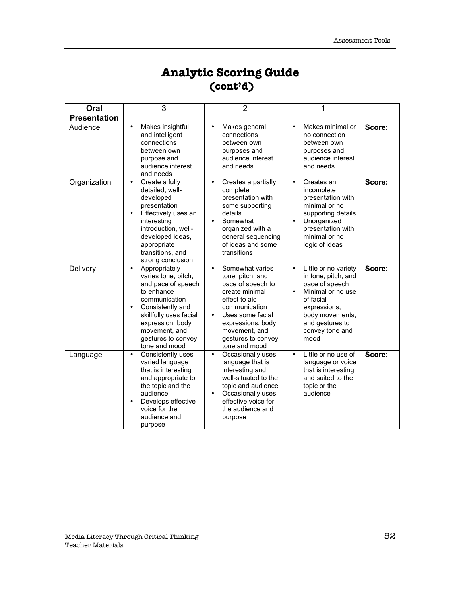# **Analytic Scoring Guide (cont'd)**

| Oral                | 3                                                                                                                                                                                                                   | 2                                                                                                                                                                                                             | 1                                                                                                                                                                                |        |
|---------------------|---------------------------------------------------------------------------------------------------------------------------------------------------------------------------------------------------------------------|---------------------------------------------------------------------------------------------------------------------------------------------------------------------------------------------------------------|----------------------------------------------------------------------------------------------------------------------------------------------------------------------------------|--------|
| <b>Presentation</b> |                                                                                                                                                                                                                     |                                                                                                                                                                                                               |                                                                                                                                                                                  |        |
| Audience            | Makes insightful<br>and intelligent<br>connections<br>between own<br>purpose and<br>audience interest<br>and needs                                                                                                  | Makes general<br>connections<br>between own<br>purposes and<br>audience interest<br>and needs                                                                                                                 | Makes minimal or<br>no connection<br>between own<br>purposes and<br>audience interest<br>and needs                                                                               | Score: |
| Organization        | Create a fully<br>detailed, well-<br>developed<br>presentation<br>Effectively uses an<br>interesting<br>introduction, well-<br>developed ideas,<br>appropriate<br>transitions, and<br>strong conclusion             | Creates a partially<br>complete<br>presentation with<br>some supporting<br>details<br>Somewhat<br>organized with a<br>general sequencing<br>of ideas and some<br>transitions                                  | Creates an<br>incomplete<br>presentation with<br>minimal or no<br>supporting details<br>Unorganized<br>presentation with<br>minimal or no<br>logic of ideas                      | Score: |
| Delivery            | Appropriately<br>varies tone, pitch,<br>and pace of speech<br>to enhance<br>communication<br>Consistently and<br>skillfully uses facial<br>expression, body<br>movement, and<br>gestures to convey<br>tone and mood | Somewhat varies<br>tone, pitch, and<br>pace of speech to<br>create minimal<br>effect to aid<br>communication<br>Uses some facial<br>expressions, body<br>movement, and<br>gestures to convey<br>tone and mood | Little or no variety<br>in tone, pitch, and<br>pace of speech<br>Minimal or no use<br>of facial<br>expressions,<br>body movements,<br>and gestures to<br>convey tone and<br>mood | Score: |
| Language            | Consistently uses<br>varied language<br>that is interesting<br>and appropriate to<br>the topic and the<br>audience<br>Develops effective<br>voice for the<br>audience and<br>purpose                                | Occasionally uses<br>language that is<br>interesting and<br>well-situated to the<br>topic and audience<br>Occasionally uses<br>effective voice for<br>the audience and<br>purpose                             | Little or no use of<br>language or voice<br>that is interesting<br>and suited to the<br>topic or the<br>audience                                                                 | Score: |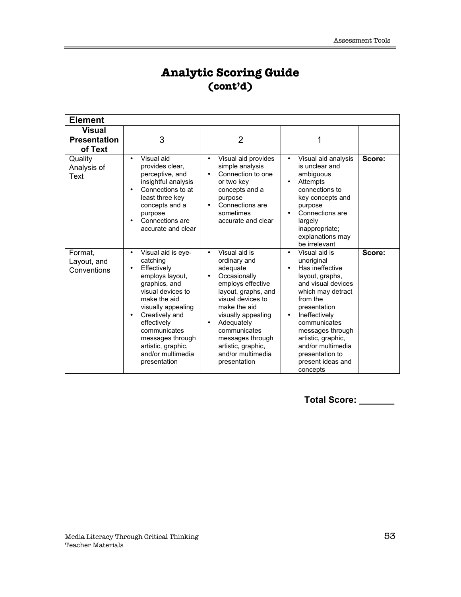# **Analytic Scoring Guide (cont'd)**

| <b>Element</b>                                  |                                                                                                                                                                                                                                                                              |                                                                                                                                                                                                                                                                                                   |                                                                                                                                                                                                                                                                                              |        |
|-------------------------------------------------|------------------------------------------------------------------------------------------------------------------------------------------------------------------------------------------------------------------------------------------------------------------------------|---------------------------------------------------------------------------------------------------------------------------------------------------------------------------------------------------------------------------------------------------------------------------------------------------|----------------------------------------------------------------------------------------------------------------------------------------------------------------------------------------------------------------------------------------------------------------------------------------------|--------|
| <b>Visual</b><br><b>Presentation</b><br>of Text | 3                                                                                                                                                                                                                                                                            | $\overline{2}$                                                                                                                                                                                                                                                                                    | 1                                                                                                                                                                                                                                                                                            |        |
| Quality<br>Analysis of<br>Text                  | Visual aid<br>provides clear.<br>perceptive, and<br>insightful analysis<br>Connections to at<br>least three key<br>concepts and a<br>purpose<br>Connections are<br>accurate and clear                                                                                        | Visual aid provides<br>simple analysis<br>Connection to one<br>or two key<br>concepts and a<br>purpose<br>Connections are<br>sometimes<br>accurate and clear                                                                                                                                      | Visual aid analysis<br>is unclear and<br>ambiguous<br>Attempts<br>connections to<br>key concepts and<br>purpose<br>Connections are<br>largely<br>inappropriate;<br>explanations may<br>be irrelevant                                                                                         | Score: |
| Format,<br>Layout, and<br>Conventions           | Visual aid is eye-<br>catching<br>Effectively<br>employs layout,<br>graphics, and<br>visual devices to<br>make the aid<br>visually appealing<br>Creatively and<br>effectively<br>communicates<br>messages through<br>artistic, graphic,<br>and/or multimedia<br>presentation | $\overline{\text{Visual}}$ aid is<br>ordinary and<br>adequate<br>Occasionally<br>employs effective<br>layout, graphs, and<br>visual devices to<br>make the aid<br>visually appealing<br>Adequately<br>communicates<br>messages through<br>artistic, graphic,<br>and/or multimedia<br>presentation | Visual aid is<br>unoriginal<br>Has ineffective<br>layout, graphs,<br>and visual devices<br>which may detract<br>from the<br>presentation<br>Ineffectively<br>communicates<br>messages through<br>artistic, graphic,<br>and/or multimedia<br>presentation to<br>present ideas and<br>concepts | Score: |

**Total Score: \_\_\_\_\_\_\_**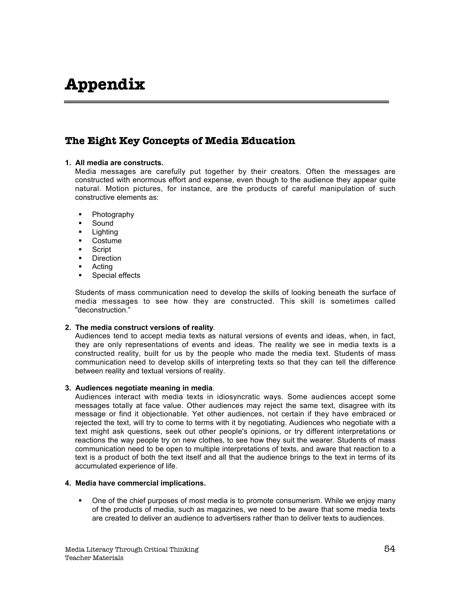# **Appendix**

## **The Eight Key Concepts of Media Education**

### **1. All media are constructs.**

Media messages are carefully put together by their creators. Often the messages are constructed with enormous effort and expense, even though to the audience they appear quite natural. Motion pictures, for instance, are the products of careful manipulation of such constructive elements as:

- **Photography**
- **Sound**
- **Lighting**
- **Costume**
- **Script**
- **Direction**
- **Acting**
- ß Special effects

Students of mass communication need to develop the skills of looking beneath the surface of media messages to see how they are constructed. This skill is sometimes called "deconstruction."

### **2. The media construct versions of reality**.

Audiences tend to accept media texts as natural versions of events and ideas, when, in fact, they are only representations of events and ideas. The reality we see in media texts is a constructed reality, built for us by the people who made the media text. Students of mass communication need to develop skills of interpreting texts so that they can tell the difference between reality and textual versions of reality.

### **3. Audiences negotiate meaning in media**.

Audiences interact with media texts in idiosyncratic ways. Some audiences accept some messages totally at face value. Other audiences may reject the same text, disagree with its message or find it objectionable. Yet other audiences, not certain if they have embraced or rejected the text, will try to come to terms with it by negotiating. Audiences who negotiate with a text might ask questions, seek out other people's opinions, or try different interpretations or reactions the way people try on new clothes, to see how they suit the wearer. Students of mass communication need to be open to multiple interpretations of texts, and aware that reaction to a text is a product of both the text itself and all that the audience brings to the text in terms of its accumulated experience of life.

### **4. Media have commercial implications.**

ß One of the chief purposes of most media is to promote consumerism. While we enjoy many of the products of media, such as magazines, we need to be aware that some media texts are created to deliver an audience to advertisers rather than to deliver texts to audiences.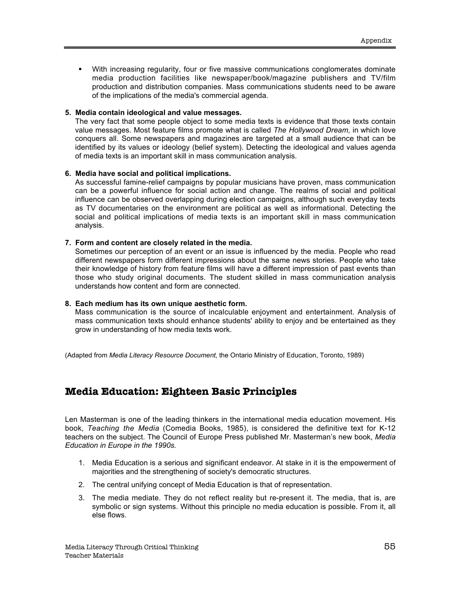ß With increasing regularity, four or five massive communications conglomerates dominate media production facilities like newspaper/book/magazine publishers and TV/film production and distribution companies. Mass communications students need to be aware of the implications of the media's commercial agenda.

#### **5. Media contain ideological and value messages.**

The very fact that some people object to some media texts is evidence that those texts contain value messages. Most feature films promote what is called *The Hollywood Dream,* in which love conquers all. Some newspapers and magazines are targeted at a small audience that can be identified by its values or ideology (belief system). Detecting the ideological and values agenda of media texts is an important skill in mass communication analysis.

#### **6. Media have social and political implications.**

As successful famine-relief campaigns by popular musicians have proven, mass communication can be a powerful influence for social action and change. The realms of social and political influence can be observed overlapping during election campaigns, although such everyday texts as TV documentaries on the environment are political as well as informational. Detecting the social and political implications of media texts is an important skill in mass communication analysis.

#### **7. Form and content are closely related in the media.**

Sometimes our perception of an event or an issue is influenced by the media. People who read different newspapers form different impressions about the same news stories. People who take their knowledge of history from feature films will have a different impression of past events than those who study original documents. The student skilled in mass communication analysis understands how content and form are connected.

### **8. Each medium has its own unique aesthetic form.**

Mass communication is the source of incalculable enjoyment and entertainment. Analysis of mass communication texts should enhance students' ability to enjoy and be entertained as they grow in understanding of how media texts work.

(Adapted from *Media Literacy Resource Document*, the Ontario Ministry of Education, Toronto, 1989)

### **Media Education: Eighteen Basic Principles**

Len Masterman is one of the leading thinkers in the international media education movement. His book, *Teaching the Media* (Comedia Books, 1985), is considered the definitive text for K-12 teachers on the subject. The Council of Europe Press published Mr. Masterman's new book, *Media Education in Europe in the 1990s*.

- 1. Media Education is a serious and significant endeavor. At stake in it is the empowerment of majorities and the strengthening of society's democratic structures.
- 2. The central unifying concept of Media Education is that of representation.
- 3. The media mediate. They do not reflect reality but re-present it. The media, that is, are symbolic or sign systems. Without this principle no media education is possible. From it, all else flows.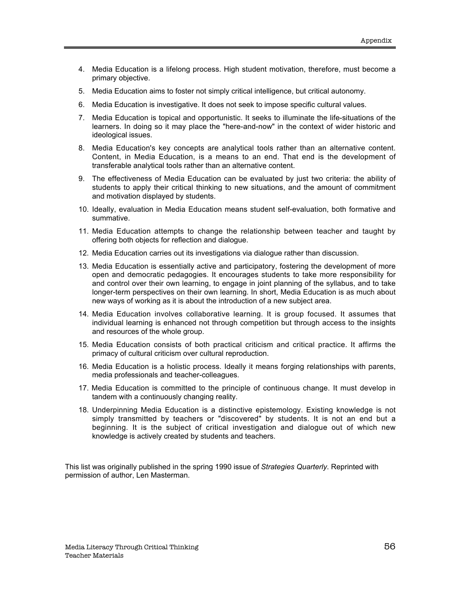- 4. Media Education is a lifelong process. High student motivation, therefore, must become a primary objective.
- 5. Media Education aims to foster not simply critical intelligence, but critical autonomy.
- 6. Media Education is investigative. It does not seek to impose specific cultural values.
- 7. Media Education is topical and opportunistic. It seeks to illuminate the life-situations of the learners. In doing so it may place the "here-and-now" in the context of wider historic and ideological issues.
- 8. Media Education's key concepts are analytical tools rather than an alternative content. Content, in Media Education, is a means to an end. That end is the development of transferable analytical tools rather than an alternative content.
- 9. The effectiveness of Media Education can be evaluated by just two criteria: the ability of students to apply their critical thinking to new situations, and the amount of commitment and motivation displayed by students.
- 10. Ideally, evaluation in Media Education means student self-evaluation, both formative and summative.
- 11. Media Education attempts to change the relationship between teacher and taught by offering both objects for reflection and dialogue.
- 12. Media Education carries out its investigations via dialogue rather than discussion.
- 13. Media Education is essentially active and participatory, fostering the development of more open and democratic pedagogies. It encourages students to take more responsibility for and control over their own learning, to engage in joint planning of the syllabus, and to take longer-term perspectives on their own learning. In short, Media Education is as much about new ways of working as it is about the introduction of a new subject area.
- 14. Media Education involves collaborative learning. It is group focused. It assumes that individual learning is enhanced not through competition but through access to the insights and resources of the whole group.
- 15. Media Education consists of both practical criticism and critical practice. It affirms the primacy of cultural criticism over cultural reproduction.
- 16. Media Education is a holistic process. Ideally it means forging relationships with parents, media professionals and teacher-colleagues.
- 17. Media Education is committed to the principle of continuous change. It must develop in tandem with a continuously changing reality.
- 18. Underpinning Media Education is a distinctive epistemology. Existing knowledge is not simply transmitted by teachers or "discovered" by students. It is not an end but a beginning. It is the subject of critical investigation and dialogue out of which new knowledge is actively created by students and teachers.

This list was originally published in the spring 1990 issue of *Strategies Quarterly*. Reprinted with permission of author, Len Masterman.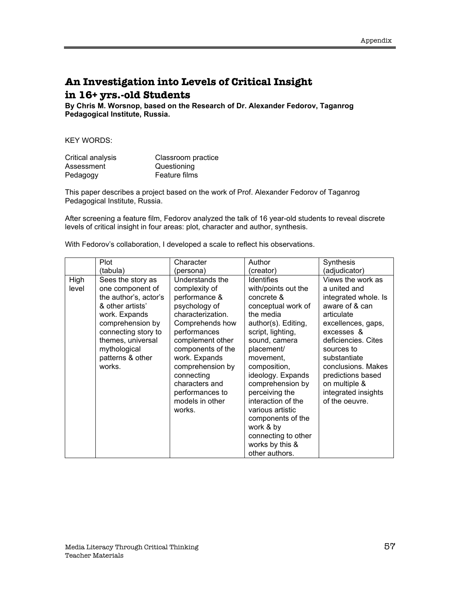# **An Investigation into Levels of Critical Insight in 16+ yrs.-old Students**

**By Chris M. Worsnop, based on the Research of Dr. Alexander Fedorov, Taganrog Pedagogical Institute, Russia.**

KEY WORDS:

| Critical analysis | Classroom practice |
|-------------------|--------------------|
| Assessment        | Questioning        |
| Pedagogy          | Feature films      |

This paper describes a project based on the work of Prof. Alexander Fedorov of Taganrog Pedagogical Institute, Russia.

After screening a feature film, Fedorov analyzed the talk of 16 year-old students to reveal discrete levels of critical insight in four areas: plot, character and author, synthesis.

|  | With Fedorov's collaboration, I developed a scale to reflect his observations. |
|--|--------------------------------------------------------------------------------|
|--|--------------------------------------------------------------------------------|

|               | Plot                                                                                                                                                                                                              | Character                                                                                                                                                                                                                                                                                | Author                                                                                                                                                                                                                                                                                                                                                                                               | Synthesis                                                                                                                                                                                                                                                                               |
|---------------|-------------------------------------------------------------------------------------------------------------------------------------------------------------------------------------------------------------------|------------------------------------------------------------------------------------------------------------------------------------------------------------------------------------------------------------------------------------------------------------------------------------------|------------------------------------------------------------------------------------------------------------------------------------------------------------------------------------------------------------------------------------------------------------------------------------------------------------------------------------------------------------------------------------------------------|-----------------------------------------------------------------------------------------------------------------------------------------------------------------------------------------------------------------------------------------------------------------------------------------|
|               | (tabula)                                                                                                                                                                                                          | (persona)                                                                                                                                                                                                                                                                                | (creator)                                                                                                                                                                                                                                                                                                                                                                                            | (adjudicator)                                                                                                                                                                                                                                                                           |
| High<br>level | Sees the story as<br>one component of<br>the author's, actor's<br>& other artists'<br>work. Expands<br>comprehension by<br>connecting story to<br>themes, universal<br>mythological<br>patterns & other<br>works. | Understands the<br>complexity of<br>performance &<br>psychology of<br>characterization.<br>Comprehends how<br>performances<br>complement other<br>components of the<br>work. Expands<br>comprehension by<br>connecting<br>characters and<br>performances to<br>models in other<br>works. | <b>Identifies</b><br>with/points out the<br>concrete &<br>conceptual work of<br>the media<br>author(s). Editing,<br>script, lighting,<br>sound, camera<br>placement/<br>movement,<br>composition,<br>ideology. Expands<br>comprehension by<br>perceiving the<br>interaction of the<br>various artistic<br>components of the<br>work & by<br>connecting to other<br>works by this &<br>other authors. | Views the work as<br>a united and<br>integrated whole. Is<br>aware of & can<br>articulate<br>excellences, gaps,<br>excesses &<br>deficiencies. Cites<br>sources to<br>substantiate<br>conclusions. Makes<br>predictions based<br>on multiple &<br>integrated insights<br>of the oeuvre. |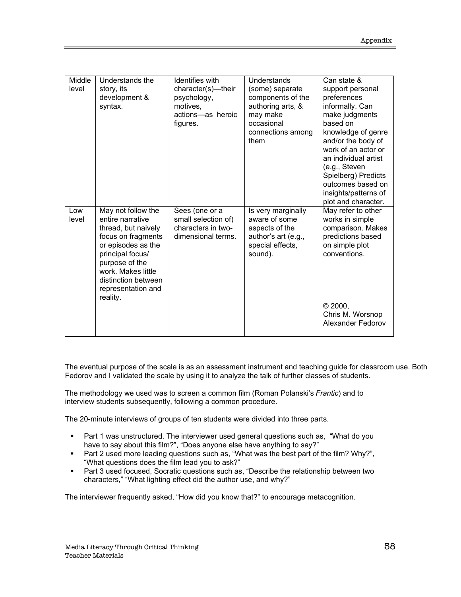| Middle<br>level | Understands the<br>story, its<br>development &<br>syntax.                                                                                                                                                                      | <b>Identifies</b> with<br>character(s)-their<br>psychology,<br>motives.<br>actions-as heroic<br>figures. | <b>Understands</b><br>(some) separate<br>components of the<br>authoring arts, &<br>may make<br>occasional<br>connections among<br>them | Can state &<br>support personal<br>preferences<br>informally. Can<br>make judgments<br>based on<br>knowledge of genre<br>and/or the body of<br>work of an actor or<br>an individual artist<br>(e.g., Steven<br>Spielberg) Predicts<br>outcomes based on<br>insights/patterns of<br>plot and character. |
|-----------------|--------------------------------------------------------------------------------------------------------------------------------------------------------------------------------------------------------------------------------|----------------------------------------------------------------------------------------------------------|----------------------------------------------------------------------------------------------------------------------------------------|--------------------------------------------------------------------------------------------------------------------------------------------------------------------------------------------------------------------------------------------------------------------------------------------------------|
| Low<br>level    | May not follow the<br>entire narrative<br>thread, but naively<br>focus on fragments<br>or episodes as the<br>principal focus/<br>purpose of the<br>work. Makes little<br>distinction between<br>representation and<br>reality. | Sees (one or a<br>small selection of)<br>characters in two-<br>dimensional terms.                        | Is very marginally<br>aware of some<br>aspects of the<br>author's art (e.g.,<br>special effects,<br>sound).                            | May refer to other<br>works in simple<br>comparison. Makes<br>predictions based<br>on simple plot<br>conventions.<br>© 2000,<br>Chris M. Worsnop<br>Alexander Fedorov                                                                                                                                  |

The eventual purpose of the scale is as an assessment instrument and teaching guide for classroom use. Both Fedorov and I validated the scale by using it to analyze the talk of further classes of students.

The methodology we used was to screen a common film (Roman Polanski's *Frantic*) and to interview students subsequently, following a common procedure.

The 20-minute interviews of groups of ten students were divided into three parts.

- **Part 1 was unstructured. The interviewer used general questions such as, "What do you** have to say about this film?", "Does anyone else have anything to say?"
- Part 2 used more leading questions such as, "What was the best part of the film? Why?", "What questions does the film lead you to ask?"
- **Part 3 used focused, Socratic questions such as, "Describe the relationship between two** characters," "What lighting effect did the author use, and why?"

The interviewer frequently asked, "How did you know that?" to encourage metacognition.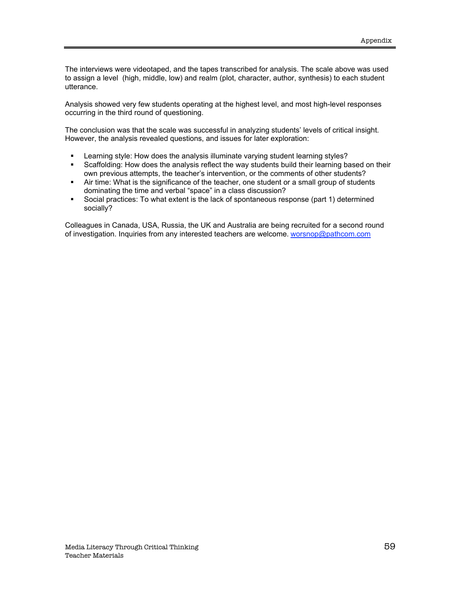The interviews were videotaped, and the tapes transcribed for analysis. The scale above was used to assign a level (high, middle, low) and realm (plot, character, author, synthesis) to each student utterance.

Analysis showed very few students operating at the highest level, and most high-level responses occurring in the third round of questioning.

The conclusion was that the scale was successful in analyzing students' levels of critical insight. However, the analysis revealed questions, and issues for later exploration:

- **EXECT Learning style: How does the analysis illuminate varying student learning styles?**
- **Scaffolding: How does the analysis reflect the way students build their learning based on their** own previous attempts, the teacher's intervention, or the comments of other students?
- Air time: What is the significance of the teacher, one student or a small group of students dominating the time and verbal "space" in a class discussion?
- **Social practices: To what extent is the lack of spontaneous response (part 1) determined** socially?

Colleagues in Canada, USA, Russia, the UK and Australia are being recruited for a second round of investigation. Inquiries from any interested teachers are welcome. worsnop@pathcom.com